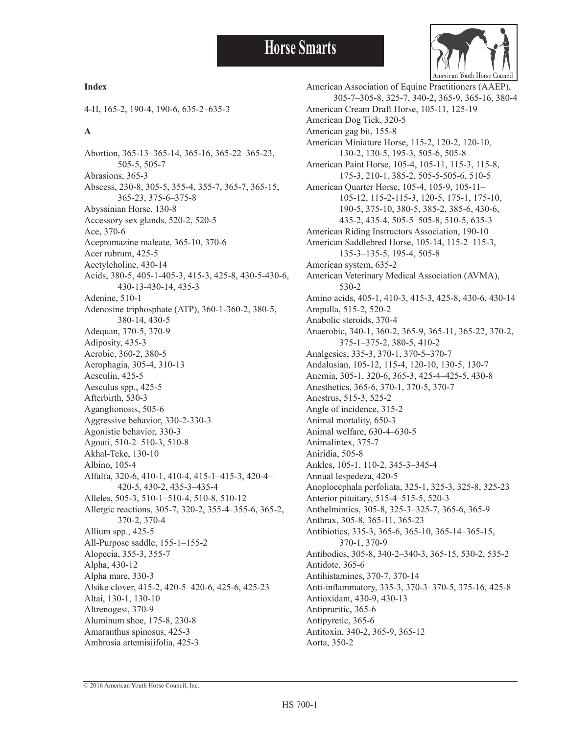

#### **Index**

4-H, 165-2, 190-4, 190-6, 635-2–635-3

#### **A**

Abortion, 365-13–365-14, 365-16, 365-22–365-23, 505-5, 505-7 Abrasions, 365-3 Abscess, 230-8, 305-5, 355-4, 355-7, 365-7, 365-15, 365-23, 375-6–375-8 Abyssinian Horse, 130-8 Accessory sex glands, 520-2, 520-5 Ace, 370-6 Acepromazine maleate, 365-10, 370-6 Acer rubrum, 425-5 Acetylcholine, 430-14 Acids, 380-5, 405-1-405-3, 415-3, 425-8, 430-5-430-6, 430-13-430-14, 435-3 Adenine, 510-1 Adenosine triphosphate (ATP), 360-1-360-2, 380-5, 380-14, 430-5 Adequan, 370-5, 370-9 Adiposity, 435-3 Aerobic, 360-2, 380-5 Aerophagia, 305-4, 310-13 Aesculin, 425-5 Aesculus spp., 425-5 Afterbirth, 530-3 Aganglionosis, 505-6 Aggressive behavior, 330-2-330-3 Agonistic behavior, 330-3 Agouti, 510-2–510-3, 510-8 Akhal-Teke, 130-10 Albino, 105-4 Alfalfa, 320-6, 410-1, 410-4, 415-1–415-3, 420-4– 420-5, 430-2, 435-3–435-4 Alleles, 505-3, 510-1–510-4, 510-8, 510-12 Allergic reactions, 305-7, 320-2, 355-4–355-6, 365-2, 370-2, 370-4 Allium spp., 425-5 All-Purpose saddle, 155-1–155-2 Alopecia, 355-3, 355-7 Alpha, 430-12 Alpha mare, 330-3 Alsike clover, 415-2, 420-5–420-6, 425-6, 425-23 Altai, 130-1, 130-10 Altrenogest, 370-9 Aluminum shoe, 175-8, 230-8 Amaranthus spinosus, 425-3 Ambrosia artemisiifolia, 425-3

American Association of Equine Practitioners (AAEP), 305-7–305-8, 325-7, 340-2, 365-9, 365-16, 380-4 American Cream Draft Horse, 105-11, 125-19 American Dog Tick, 320-5 American gag bit, 155-8 American Miniature Horse, 115-2, 120-2, 120-10, 130-2, 130-5, 195-3, 505-6, 505-8 American Paint Horse, 105-4, 105-11, 115-3, 115-8, 175-3, 210-1, 385-2, 505-5-505-6, 510-5 American Quarter Horse, 105-4, 105-9, 105-11– 105-12, 115-2-115-3, 120-5, 175-1, 175-10, 190-5, 375-10, 380-5, 385-2, 385-6, 430-6, 435-2, 435-4, 505-5–505-8, 510-5, 635-3 American Riding Instructors Association, 190-10 American Saddlebred Horse, 105-14, 115-2–115-3, 135-3–135-5, 195-4, 505-8 American system, 635-2 American Veterinary Medical Association (AVMA), 530-2 Amino acids, 405-1, 410-3, 415-3, 425-8, 430-6, 430-14 Ampulla, 515-2, 520-2 Anabolic steroids, 370-4 Anaerobic, 340-1, 360-2, 365-9, 365-11, 365-22, 370-2, 375-1–375-2, 380-5, 410-2 Analgesics, 335-3, 370-1, 370-5–370-7 Andalusian, 105-12, 115-4, 120-10, 130-5, 130-7 Anemia, 305-1, 320-6, 365-3, 425-4–425-5, 430-8 Anesthetics, 365-6, 370-1, 370-5, 370-7 Anestrus, 515-3, 525-2 Angle of incidence, 315-2 Animal mortality, 650-3 Animal welfare, 630-4–630-5 Animalintex, 375-7 Aniridia, 505-8 Ankles, 105-1, 110-2, 345-3–345-4 Annual lespedeza, 420-5 Anoplocephala perfoliata, 325-1, 325-3, 325-8, 325-23 Anterior pituitary, 515-4–515-5, 520-3 Anthelmintics, 305-8, 325-3–325-7, 365-6, 365-9 Anthrax, 305-8, 365-11, 365-23 Antibiotics, 335-3, 365-6, 365-10, 365-14–365-15, 370-1, 370-9 Antibodies, 305-8, 340-2–340-3, 365-15, 530-2, 535-2 Antidote, 365-6 Antihistamines, 370-7, 370-14 Anti-inflammatory, 335-3, 370-3–370-5, 375-16, 425-8 Antioxidant, 430-9, 430-13 Antipruritic, 365-6 Antipyretic, 365-6 Antitoxin, 340-2, 365-9, 365-12 Aorta, 350-2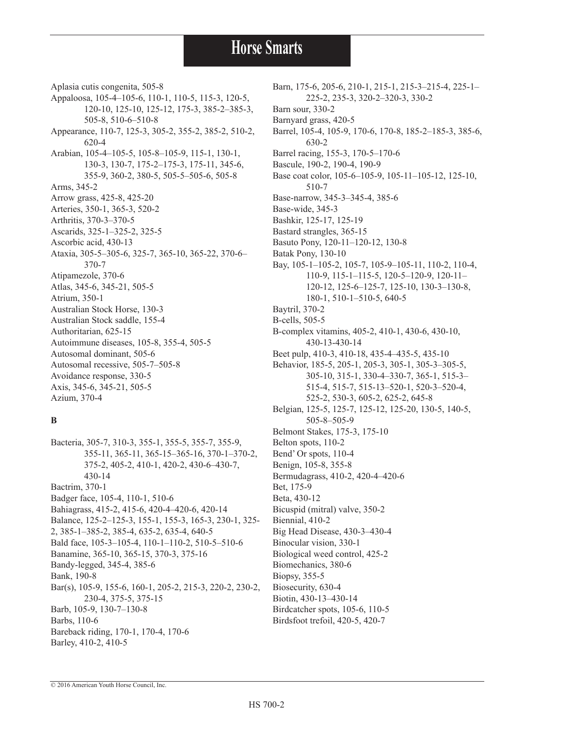Aplasia cutis congenita, 505-8 Appaloosa, 105-4–105-6, 110-1, 110-5, 115-3, 120-5, 120-10, 125-10, 125-12, 175-3, 385-2–385-3, 505-8, 510-6–510-8 Appearance, 110-7, 125-3, 305-2, 355-2, 385-2, 510-2, 620-4 Arabian, 105-4–105-5, 105-8–105-9, 115-1, 130-1, 130-3, 130-7, 175-2–175-3, 175-11, 345-6, 355-9, 360-2, 380-5, 505-5–505-6, 505-8 Arms, 345-2 Arrow grass, 425-8, 425-20 Arteries, 350-1, 365-3, 520-2 Arthritis, 370-3–370-5 Ascarids, 325-1–325-2, 325-5 Ascorbic acid, 430-13 Ataxia, 305-5–305-6, 325-7, 365-10, 365-22, 370-6– 370-7 Atipamezole, 370-6 Atlas, 345-6, 345-21, 505-5 Atrium, 350-1 Australian Stock Horse, 130-3 Australian Stock saddle, 155-4 Authoritarian, 625-15 Autoimmune diseases, 105-8, 355-4, 505-5 Autosomal dominant, 505-6 Autosomal recessive, 505-7–505-8 Avoidance response, 330-5 Axis, 345-6, 345-21, 505-5 Azium, 370-4

#### **B**

Bacteria, 305-7, 310-3, 355-1, 355-5, 355-7, 355-9, 355-11, 365-11, 365-15–365-16, 370-1–370-2, 375-2, 405-2, 410-1, 420-2, 430-6–430-7, 430-14 Bactrim, 370-1 Badger face, 105-4, 110-1, 510-6 Bahiagrass, 415-2, 415-6, 420-4–420-6, 420-14 Balance, 125-2–125-3, 155-1, 155-3, 165-3, 230-1, 325- 2, 385-1–385-2, 385-4, 635-2, 635-4, 640-5 Bald face, 105-3–105-4, 110-1–110-2, 510-5–510-6 Banamine, 365-10, 365-15, 370-3, 375-16 Bandy-legged, 345-4, 385-6 Bank, 190-8 Bar(s), 105-9, 155-6, 160-1, 205-2, 215-3, 220-2, 230-2, 230-4, 375-5, 375-15 Barb, 105-9, 130-7–130-8 Barbs, 110-6 Bareback riding, 170-1, 170-4, 170-6 Barley, 410-2, 410-5

Barn, 175-6, 205-6, 210-1, 215-1, 215-3–215-4, 225-1– 225-2, 235-3, 320-2–320-3, 330-2 Barn sour, 330-2 Barnyard grass, 420-5 Barrel, 105-4, 105-9, 170-6, 170-8, 185-2–185-3, 385-6, 630-2 Barrel racing, 155-3, 170-5–170-6 Bascule, 190-2, 190-4, 190-9 Base coat color, 105-6–105-9, 105-11–105-12, 125-10, 510-7 Base-narrow, 345-3–345-4, 385-6 Base-wide, 345-3 Bashkir, 125-17, 125-19 Bastard strangles, 365-15 Basuto Pony, 120-11–120-12, 130-8 Batak Pony, 130-10 Bay, 105-1–105-2, 105-7, 105-9–105-11, 110-2, 110-4, 110-9, 115-1–115-5, 120-5–120-9, 120-11– 120-12, 125-6–125-7, 125-10, 130-3–130-8, 180-1, 510-1–510-5, 640-5 Baytril, 370-2 B-cells, 505-5 B-complex vitamins, 405-2, 410-1, 430-6, 430-10, 430-13-430-14 Beet pulp, 410-3, 410-18, 435-4–435-5, 435-10 Behavior, 185-5, 205-1, 205-3, 305-1, 305-3–305-5, 305-10, 315-1, 330-4–330-7, 365-1, 515-3– 515-4, 515-7, 515-13–520-1, 520-3–520-4, 525-2, 530-3, 605-2, 625-2, 645-8 Belgian, 125-5, 125-7, 125-12, 125-20, 130-5, 140-5, 505-8–505-9 Belmont Stakes, 175-3, 175-10 Belton spots, 110-2 Bend' Or spots, 110-4 Benign, 105-8, 355-8 Bermudagrass, 410-2, 420-4–420-6 Bet, 175-9 Beta, 430-12 Bicuspid (mitral) valve, 350-2 Biennial, 410-2 Big Head Disease, 430-3–430-4 Binocular vision, 330-1 Biological weed control, 425-2 Biomechanics, 380-6 Biopsy, 355-5 Biosecurity, 630-4 Biotin, 430-13–430-14 Birdcatcher spots, 105-6, 110-5 Birdsfoot trefoil, 420-5, 420-7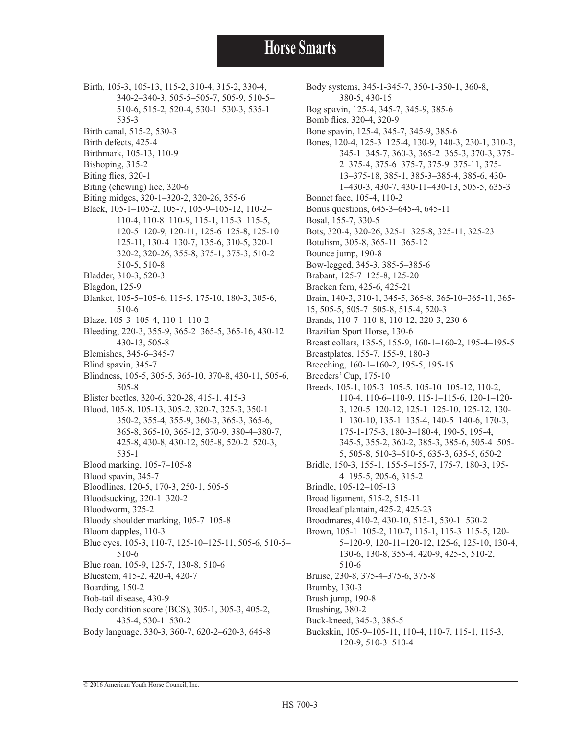- Birth, 105-3, 105-13, 115-2, 310-4, 315-2, 330-4, 340-2–340-3, 505-5–505-7, 505-9, 510-5– 510-6, 515-2, 520-4, 530-1–530-3, 535-1–
	- 535-3
- Birth canal, 515-2, 530-3
- Birth defects, 425-4
- Birthmark, 105-13, 110-9
- Bishoping, 315-2
- Biting flies, 320-1
- Biting (chewing) lice, 320-6
- Biting midges, 320-1–320-2, 320-26, 355-6
- Black, 105-1–105-2, 105-7, 105-9–105-12, 110-2– 110-4, 110-8–110-9, 115-1, 115-3–115-5, 120-5–120-9, 120-11, 125-6–125-8, 125-10– 125-11, 130-4–130-7, 135-6, 310-5, 320-1– 320-2, 320-26, 355-8, 375-1, 375-3, 510-2– 510-5, 510-8
- Bladder, 310-3, 520-3
- Blagdon, 125-9
- Blanket, 105-5–105-6, 115-5, 175-10, 180-3, 305-6, 510-6
- Blaze, 105-3–105-4, 110-1–110-2
- Bleeding, 220-3, 355-9, 365-2–365-5, 365-16, 430-12– 430-13, 505-8
- Blemishes, 345-6–345-7
- Blind spavin, 345-7
- Blindness, 105-5, 305-5, 365-10, 370-8, 430-11, 505-6, 505-8
- Blister beetles, 320-6, 320-28, 415-1, 415-3
- Blood, 105-8, 105-13, 305-2, 320-7, 325-3, 350-1– 350-2, 355-4, 355-9, 360-3, 365-3, 365-6, 365-8, 365-10, 365-12, 370-9, 380-4–380-7, 425-8, 430-8, 430-12, 505-8, 520-2–520-3, 535-1
- Blood marking, 105-7–105-8
- Blood spavin, 345-7
- Bloodlines, 120-5, 170-3, 250-1, 505-5
- Bloodsucking, 320-1–320-2
- Bloodworm, 325-2
- Bloody shoulder marking, 105-7–105-8
- Bloom dapples, 110-3
- Blue eyes, 105-3, 110-7, 125-10–125-11, 505-6, 510-5– 510-6
- Blue roan, 105-9, 125-7, 130-8, 510-6
- Bluestem, 415-2, 420-4, 420-7
- Boarding, 150-2
- Bob-tail disease, 430-9 Body condition score (BCS), 305-1, 305-3, 405-2, 435-4, 530-1–530-2
- Body language, 330-3, 360-7, 620-2–620-3, 645-8
- Body systems, 345-1-345-7, 350-1-350-1, 360-8, 380-5, 430-15 Bog spavin, 125-4, 345-7, 345-9, 385-6 Bomb flies, 320-4, 320-9 Bone spavin, 125-4, 345-7, 345-9, 385-6 Bones, 120-4, 125-3–125-4, 130-9, 140-3, 230-1, 310-3, 345-1–345-7, 360-3, 365-2–365-3, 370-3, 375- 2–375-4, 375-6–375-7, 375-9–375-11, 375- 13–375-18, 385-1, 385-3–385-4, 385-6, 430- 1–430-3, 430-7, 430-11–430-13, 505-5, 635-3 Bonnet face, 105-4, 110-2 Bonus questions, 645-3–645-4, 645-11 Bosal, 155-7, 330-5 Bots, 320-4, 320-26, 325-1–325-8, 325-11, 325-23 Botulism, 305-8, 365-11–365-12 Bounce jump, 190-8 Bow-legged, 345-3, 385-5–385-6 Brabant, 125-7–125-8, 125-20 Bracken fern, 425-6, 425-21 Brain, 140-3, 310-1, 345-5, 365-8, 365-10–365-11, 365- 15, 505-5, 505-7–505-8, 515-4, 520-3 Brands, 110-7–110-8, 110-12, 220-3, 230-6 Brazilian Sport Horse, 130-6 Breast collars, 135-5, 155-9, 160-1–160-2, 195-4–195-5 Breastplates, 155-7, 155-9, 180-3 Breeching, 160-1–160-2, 195-5, 195-15 Breeders' Cup, 175-10 Breeds, 105-1, 105-3–105-5, 105-10–105-12, 110-2, 110-4, 110-6–110-9, 115-1–115-6, 120-1–120- 3, 120-5–120-12, 125-1–125-10, 125-12, 130- 1–130-10, 135-1–135-4, 140-5–140-6, 170-3, 175-1-175-3, 180-3–180-4, 190-5, 195-4, 345-5, 355-2, 360-2, 385-3, 385-6, 505-4–505- 5, 505-8, 510-3–510-5, 635-3, 635-5, 650-2 Bridle, 150-3, 155-1, 155-5–155-7, 175-7, 180-3, 195- 4–195-5, 205-6, 315-2 Brindle, 105-12–105-13 Broad ligament, 515-2, 515-11 Broadleaf plantain, 425-2, 425-23 Broodmares, 410-2, 430-10, 515-1, 530-1–530-2 Brown, 105-1–105-2, 110-7, 115-1, 115-3–115-5, 120- 5–120-9, 120-11–120-12, 125-6, 125-10, 130-4, 130-6, 130-8, 355-4, 420-9, 425-5, 510-2, 510-6 Bruise, 230-8, 375-4–375-6, 375-8 Brumby, 130-3 Brush jump, 190-8
- Brushing, 380-2
- Buck-kneed, 345-3, 385-5
- Buckskin, 105-9–105-11, 110-4, 110-7, 115-1, 115-3, 120-9, 510-3–510-4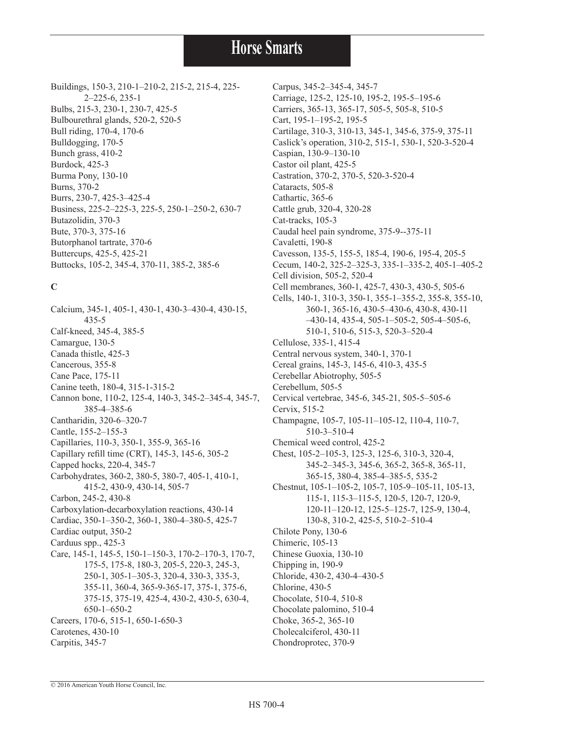Buildings, 150-3, 210-1–210-2, 215-2, 215-4, 225- 2–225-6, 235-1 Bulbs, 215-3, 230-1, 230-7, 425-5 Bulbourethral glands, 520-2, 520-5 Bull riding, 170-4, 170-6 Bulldogging, 170-5 Bunch grass, 410-2 Burdock, 425-3 Burma Pony, 130-10 Burns, 370-2 Burrs, 230-7, 425-3–425-4 Business, 225-2–225-3, 225-5, 250-1–250-2, 630-7 Butazolidin, 370-3 Bute, 370-3, 375-16 Butorphanol tartrate, 370-6 Buttercups, 425-5, 425-21 Buttocks, 105-2, 345-4, 370-11, 385-2, 385-6

#### **C**

Calcium, 345-1, 405-1, 430-1, 430-3–430-4, 430-15, 435-5 Calf-kneed, 345-4, 385-5 Camargue, 130-5 Canada thistle, 425-3 Cancerous, 355-8 Cane Pace, 175-11 Canine teeth, 180-4, 315-1-315-2 Cannon bone, 110-2, 125-4, 140-3, 345-2–345-4, 345-7, 385-4–385-6 Cantharidin, 320-6–320-7 Cantle, 155-2–155-3 Capillaries, 110-3, 350-1, 355-9, 365-16 Capillary refill time (CRT), 145-3, 145-6, 305-2 Capped hocks, 220-4, 345-7 Carbohydrates, 360-2, 380-5, 380-7, 405-1, 410-1, 415-2, 430-9, 430-14, 505-7 Carbon, 245-2, 430-8 Carboxylation-decarboxylation reactions, 430-14 Cardiac, 350-1–350-2, 360-1, 380-4–380-5, 425-7 Cardiac output, 350-2 Carduus spp., 425-3 Care, 145-1, 145-5, 150-1–150-3, 170-2–170-3, 170-7, 175-5, 175-8, 180-3, 205-5, 220-3, 245-3, 250-1, 305-1–305-3, 320-4, 330-3, 335-3, 355-11, 360-4, 365-9-365-17, 375-1, 375-6, 375-15, 375-19, 425-4, 430-2, 430-5, 630-4, 650-1–650-2 Careers, 170-6, 515-1, 650-1-650-3 Carotenes, 430-10 Carpitis, 345-7

Carpus, 345-2–345-4, 345-7 Carriage, 125-2, 125-10, 195-2, 195-5–195-6 Carriers, 365-13, 365-17, 505-5, 505-8, 510-5 Cart, 195-1–195-2, 195-5 Cartilage, 310-3, 310-13, 345-1, 345-6, 375-9, 375-11 Caslick's operation, 310-2, 515-1, 530-1, 520-3-520-4 Caspian, 130-9–130-10 Castor oil plant, 425-5 Castration, 370-2, 370-5, 520-3-520-4 Cataracts, 505-8 Cathartic, 365-6 Cattle grub, 320-4, 320-28 Cat-tracks, 105-3 Caudal heel pain syndrome, 375-9--375-11 Cavaletti, 190-8 Cavesson, 135-5, 155-5, 185-4, 190-6, 195-4, 205-5 Cecum, 140-2, 325-2–325-3, 335-1–335-2, 405-1–405-2 Cell division, 505-2, 520-4 Cell membranes, 360-1, 425-7, 430-3, 430-5, 505-6 Cells, 140-1, 310-3, 350-1, 355-1–355-2, 355-8, 355-10, 360-1, 365-16, 430-5–430-6, 430-8, 430-11 –430-14, 435-4, 505-1–505-2, 505-4–505-6, 510-1, 510-6, 515-3, 520-3–520-4 Cellulose, 335-1, 415-4 Central nervous system, 340-1, 370-1 Cereal grains, 145-3, 145-6, 410-3, 435-5 Cerebellar Abiotrophy, 505-5 Cerebellum, 505-5 Cervical vertebrae, 345-6, 345-21, 505-5–505-6 Cervix, 515-2 Champagne, 105-7, 105-11–105-12, 110-4, 110-7, 510-3–510-4 Chemical weed control, 425-2 Chest, 105-2–105-3, 125-3, 125-6, 310-3, 320-4, 345-2–345-3, 345-6, 365-2, 365-8, 365-11, 365-15, 380-4, 385-4–385-5, 535-2 Chestnut, 105-1–105-2, 105-7, 105-9–105-11, 105-13, 115-1, 115-3–115-5, 120-5, 120-7, 120-9, 120-11–120-12, 125-5–125-7, 125-9, 130-4, 130-8, 310-2, 425-5, 510-2–510-4 Chilote Pony, 130-6 Chimeric, 105-13 Chinese Guoxia, 130-10 Chipping in, 190-9 Chloride, 430-2, 430-4–430-5 Chlorine, 430-5 Chocolate, 510-4, 510-8 Chocolate palomino, 510-4 Choke, 365-2, 365-10 Cholecalciferol, 430-11 Chondroprotec, 370-9

© 2016 American Youth Horse Council, Inc.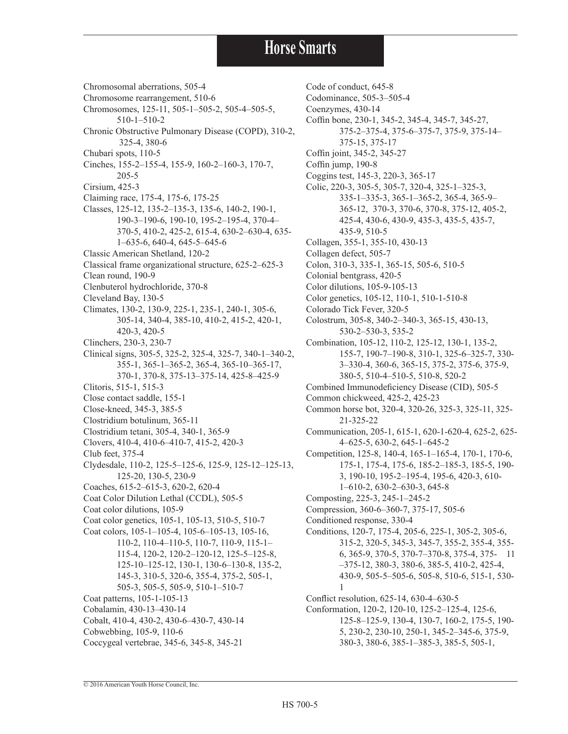Chromosomal aberrations, 505-4 Chromosome rearrangement, 510-6 Chromosomes, 125-11, 505-1–505-2, 505-4–505-5, 510-1–510-2 Chronic Obstructive Pulmonary Disease (COPD), 310-2, 325-4, 380-6 Chubari spots, 110-5 Cinches, 155-2–155-4, 155-9, 160-2–160-3, 170-7, 205-5 Cirsium, 425-3 Claiming race, 175-4, 175-6, 175-25 Classes, 125-12, 135-2–135-3, 135-6, 140-2, 190-1, 190-3–190-6, 190-10, 195-2–195-4, 370-4– 370-5, 410-2, 425-2, 615-4, 630-2–630-4, 635- 1–635-6, 640-4, 645-5–645-6 Classic American Shetland, 120-2 Classical frame organizational structure, 625-2–625-3 Clean round, 190-9 Clenbuterol hydrochloride, 370-8 Cleveland Bay, 130-5 Climates, 130-2, 130-9, 225-1, 235-1, 240-1, 305-6, 305-14, 340-4, 385-10, 410-2, 415-2, 420-1, 420-3, 420-5 Clinchers, 230-3, 230-7 Clinical signs, 305-5, 325-2, 325-4, 325-7, 340-1–340-2, 355-1, 365-1–365-2, 365-4, 365-10–365-17, 370-1, 370-8, 375-13–375-14, 425-8–425-9 Clitoris, 515-1, 515-3 Close contact saddle, 155-1 Close-kneed, 345-3, 385-5 Clostridium botulinum, 365-11 Clostridium tetani, 305-4, 340-1, 365-9 Clovers, 410-4, 410-6–410-7, 415-2, 420-3 Club feet, 375-4 Clydesdale, 110-2, 125-5–125-6, 125-9, 125-12–125-13, 125-20, 130-5, 230-9 Coaches, 615-2–615-3, 620-2, 620-4 Coat Color Dilution Lethal (CCDL), 505-5 Coat color dilutions, 105-9 Coat color genetics, 105-1, 105-13, 510-5, 510-7 Coat colors, 105-1–105-4, 105-6–105-13, 105-16, 110-2, 110-4–110-5, 110-7, 110-9, 115-1– 115-4, 120-2, 120-2–120-12, 125-5–125-8, 125-10–125-12, 130-1, 130-6–130-8, 135-2, 145-3, 310-5, 320-6, 355-4, 375-2, 505-1, 505-3, 505-5, 505-9, 510-1–510-7 Coat patterns, 105-1-105-13 Cobalamin, 430-13–430-14 Cobalt, 410-4, 430-2, 430-6–430-7, 430-14 Cobwebbing, 105-9, 110-6 Coccygeal vertebrae, 345-6, 345-8, 345-21

Code of conduct, 645-8 Codominance, 505-3–505-4 Coenzymes, 430-14 Coffin bone, 230-1, 345-2, 345-4, 345-7, 345-27, 375-2–375-4, 375-6–375-7, 375-9, 375-14– 375-15, 375-17 Coffin joint, 345-2, 345-27 Coffin jump, 190-8 Coggins test, 145-3, 220-3, 365-17 Colic, 220-3, 305-5, 305-7, 320-4, 325-1–325-3, 335-1–335-3, 365-1–365-2, 365-4, 365-9– 365-12, 370-3, 370-6, 370-8, 375-12, 405-2, 425-4, 430-6, 430-9, 435-3, 435-5, 435-7, 435-9, 510-5 Collagen, 355-1, 355-10, 430-13 Collagen defect, 505-7 Colon, 310-3, 335-1, 365-15, 505-6, 510-5 Colonial bentgrass, 420-5 Color dilutions, 105-9-105-13 Color genetics, 105-12, 110-1, 510-1-510-8 Colorado Tick Fever, 320-5 Colostrum, 305-8, 340-2–340-3, 365-15, 430-13, 530-2–530-3, 535-2 Combination, 105-12, 110-2, 125-12, 130-1, 135-2, 155-7, 190-7–190-8, 310-1, 325-6–325-7, 330- 3–330-4, 360-6, 365-15, 375-2, 375-6, 375-9, 380-5, 510-4–510-5, 510-8, 520-2 Combined Immunodeficiency Disease (CID), 505-5 Common chickweed, 425-2, 425-23 Common horse bot, 320-4, 320-26, 325-3, 325-11, 325- 21-325-22 Communication, 205-1, 615-1, 620-1-620-4, 625-2, 625- 4–625-5, 630-2, 645-1–645-2 Competition, 125-8, 140-4, 165-1–165-4, 170-1, 170-6, 175-1, 175-4, 175-6, 185-2–185-3, 185-5, 190- 3, 190-10, 195-2–195-4, 195-6, 420-3, 610- 1–610-2, 630-2–630-3, 645-8 Composting, 225-3, 245-1–245-2 Compression, 360-6–360-7, 375-17, 505-6 Conditioned response, 330-4 Conditions, 120-7, 175-4, 205-6, 225-1, 305-2, 305-6, 315-2, 320-5, 345-3, 345-7, 355-2, 355-4, 355- 6, 365-9, 370-5, 370-7–370-8, 375-4, 375- 11 –375-12, 380-3, 380-6, 385-5, 410-2, 425-4, 430-9, 505-5–505-6, 505-8, 510-6, 515-1, 530- 1 Conflict resolution, 625-14, 630-4–630-5 Conformation, 120-2, 120-10, 125-2–125-4, 125-6, 125-8–125-9, 130-4, 130-7, 160-2, 175-5, 190- 5, 230-2, 230-10, 250-1, 345-2–345-6, 375-9, 380-3, 380-6, 385-1–385-3, 385-5, 505-1,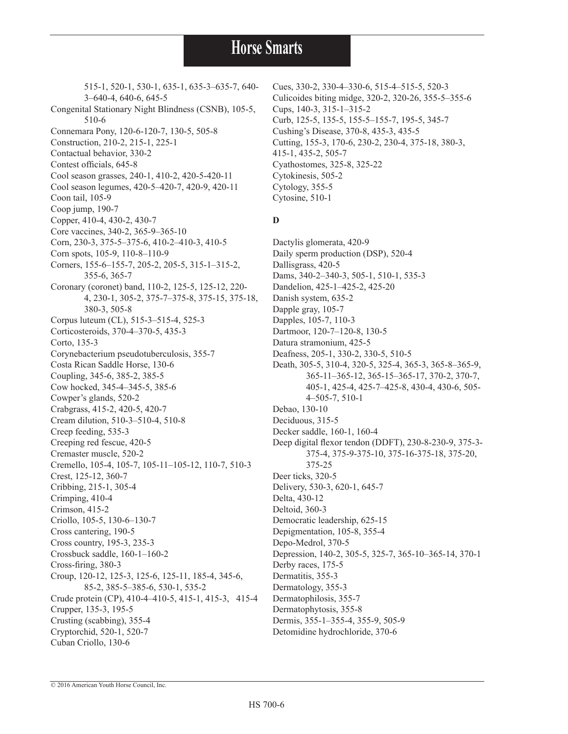515-1, 520-1, 530-1, 635-1, 635-3–635-7, 640- 3–640-4, 640-6, 645-5 Congenital Stationary Night Blindness (CSNB), 105-5, 510-6 Connemara Pony, 120-6-120-7, 130-5, 505-8 Construction, 210-2, 215-1, 225-1 Contactual behavior, 330-2 Contest officials, 645-8 Cool season grasses, 240-1, 410-2, 420-5-420-11 Cool season legumes, 420-5–420-7, 420-9, 420-11 Coon tail, 105-9 Coop jump, 190-7 Copper, 410-4, 430-2, 430-7 Core vaccines, 340-2, 365-9–365-10 Corn, 230-3, 375-5–375-6, 410-2–410-3, 410-5 Corn spots, 105-9, 110-8–110-9 Corners, 155-6–155-7, 205-2, 205-5, 315-1–315-2, 355-6, 365-7 Coronary (coronet) band, 110-2, 125-5, 125-12, 220- 4, 230-1, 305-2, 375-7–375-8, 375-15, 375-18, 380-3, 505-8 Corpus luteum (CL), 515-3–515-4, 525-3 Corticosteroids, 370-4–370-5, 435-3 Corto, 135-3 Corynebacterium pseudotuberculosis, 355-7 Costa Rican Saddle Horse, 130-6 Coupling, 345-6, 385-2, 385-5 Cow hocked, 345-4–345-5, 385-6 Cowper's glands, 520-2 Crabgrass, 415-2, 420-5, 420-7 Cream dilution, 510-3–510-4, 510-8 Creep feeding, 535-3 Creeping red fescue, 420-5 Cremaster muscle, 520-2 Cremello, 105-4, 105-7, 105-11–105-12, 110-7, 510-3 Crest, 125-12, 360-7 Cribbing, 215-1, 305-4 Crimping, 410-4 Crimson, 415-2 Criollo, 105-5, 130-6–130-7 Cross cantering, 190-5 Cross country, 195-3, 235-3 Crossbuck saddle, 160-1–160-2 Cross-firing, 380-3 Croup, 120-12, 125-3, 125-6, 125-11, 185-4, 345-6, 85-2, 385-5–385-6, 530-1, 535-2 Crude protein (CP), 410-4–410-5, 415-1, 415-3, 415-4 Crupper, 135-3, 195-5 Crusting (scabbing), 355-4 Cryptorchid, 520-1, 520-7 Cuban Criollo, 130-6

Cues, 330-2, 330-4–330-6, 515-4–515-5, 520-3 Culicoides biting midge, 320-2, 320-26, 355-5–355-6 Cups, 140-3, 315-1–315-2 Curb, 125-5, 135-5, 155-5–155-7, 195-5, 345-7 Cushing's Disease, 370-8, 435-3, 435-5 Cutting, 155-3, 170-6, 230-2, 230-4, 375-18, 380-3, 415-1, 435-2, 505-7 Cyathostomes, 325-8, 325-22 Cytokinesis, 505-2 Cytology, 355-5 Cytosine, 510-1

#### **D**

Dactylis glomerata, 420-9 Daily sperm production (DSP), 520-4 Dallisgrass, 420-5 Dams, 340-2–340-3, 505-1, 510-1, 535-3 Dandelion, 425-1–425-2, 425-20 Danish system, 635-2 Dapple gray, 105-7 Dapples, 105-7, 110-3 Dartmoor, 120-7–120-8, 130-5 Datura stramonium, 425-5 Deafness, 205-1, 330-2, 330-5, 510-5 Death, 305-5, 310-4, 320-5, 325-4, 365-3, 365-8–365-9, 365-11–365-12, 365-15–365-17, 370-2, 370-7, 405-1, 425-4, 425-7–425-8, 430-4, 430-6, 505- 4–505-7, 510-1 Debao, 130-10 Deciduous, 315-5 Decker saddle, 160-1, 160-4 Deep digital flexor tendon (DDFT), 230-8-230-9, 375-3- 375-4, 375-9-375-10, 375-16-375-18, 375-20, 375-25 Deer ticks, 320-5 Delivery, 530-3, 620-1, 645-7 Delta, 430-12 Deltoid, 360-3 Democratic leadership, 625-15 Depigmentation, 105-8, 355-4 Depo-Medrol, 370-5 Depression, 140-2, 305-5, 325-7, 365-10–365-14, 370-1 Derby races, 175-5 Dermatitis, 355-3 Dermatology, 355-3 Dermatophilosis, 355-7 Dermatophytosis, 355-8 Dermis, 355-1–355-4, 355-9, 505-9 Detomidine hydrochloride, 370-6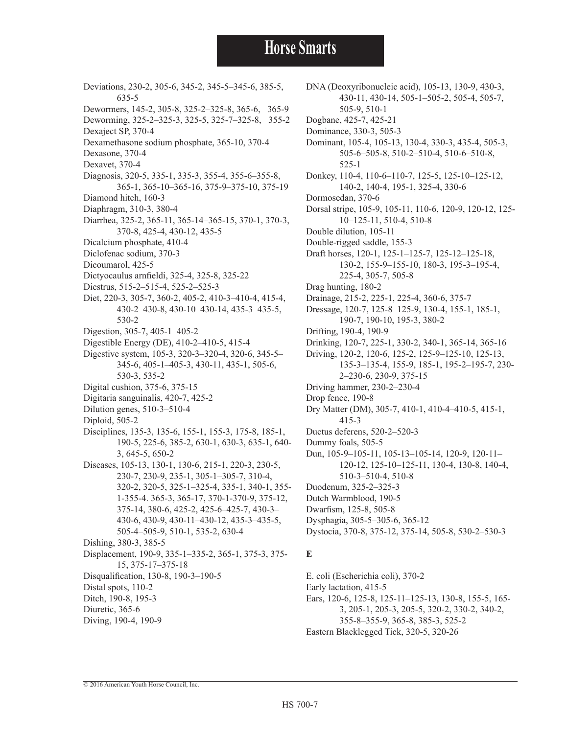- Deviations, 230-2, 305-6, 345-2, 345-5–345-6, 385-5, 635-5 Dewormers, 145-2, 305-8, 325-2–325-8, 365-6, 365-9 Deworming, 325-2–325-3, 325-5, 325-7–325-8, 355-2 Dexaject SP, 370-4 Dexamethasone sodium phosphate, 365-10, 370-4 Dexasone, 370-4 Dexavet, 370-4 Diagnosis, 320-5, 335-1, 335-3, 355-4, 355-6–355-8, 365-1, 365-10–365-16, 375-9–375-10, 375-19 Diamond hitch, 160-3 Diaphragm, 310-3, 380-4 Diarrhea, 325-2, 365-11, 365-14–365-15, 370-1, 370-3, 370-8, 425-4, 430-12, 435-5 Dicalcium phosphate, 410-4 Diclofenac sodium, 370-3 Dicoumarol, 425-5 Dictyocaulus arnfieldi, 325-4, 325-8, 325-22 Diestrus, 515-2–515-4, 525-2–525-3 Diet, 220-3, 305-7, 360-2, 405-2, 410-3–410-4, 415-4, 430-2–430-8, 430-10–430-14, 435-3–435-5, 530-2 Digestion, 305-7, 405-1–405-2 Digestible Energy (DE), 410-2–410-5, 415-4 Digestive system, 105-3, 320-3–320-4, 320-6, 345-5– 345-6, 405-1–405-3, 430-11, 435-1, 505-6, 530-3, 535-2 Digital cushion, 375-6, 375-15 Digitaria sanguinalis, 420-7, 425-2 Dilution genes, 510-3–510-4 Diploid, 505-2 Disciplines, 135-3, 135-6, 155-1, 155-3, 175-8, 185-1, 190-5, 225-6, 385-2, 630-1, 630-3, 635-1, 640- 3, 645-5, 650-2 Diseases, 105-13, 130-1, 130-6, 215-1, 220-3, 230-5, 230-7, 230-9, 235-1, 305-1–305-7, 310-4, 320-2, 320-5, 325-1–325-4, 335-1, 340-1, 355- 1-355-4. 365-3, 365-17, 370-1-370-9, 375-12, 375-14, 380-6, 425-2, 425-6–425-7, 430-3– 430-6, 430-9, 430-11–430-12, 435-3–435-5, 505-4–505-9, 510-1, 535-2, 630-4 Dishing, 380-3, 385-5 Displacement, 190-9, 335-1–335-2, 365-1, 375-3, 375- 15, 375-17–375-18 Disqualification, 130-8, 190-3–190-5 Distal spots, 110-2 Ditch, 190-8, 195-3 Diuretic, 365-6
- Diving, 190-4, 190-9

DNA (Deoxyribonucleic acid), 105-13, 130-9, 430-3, 430-11, 430-14, 505-1–505-2, 505-4, 505-7, 505-9, 510-1 Dogbane, 425-7, 425-21 Dominance, 330-3, 505-3 Dominant, 105-4, 105-13, 130-4, 330-3, 435-4, 505-3, 505-6–505-8, 510-2–510-4, 510-6–510-8, 525-1 Donkey, 110-4, 110-6–110-7, 125-5, 125-10–125-12, 140-2, 140-4, 195-1, 325-4, 330-6 Dormosedan, 370-6 Dorsal stripe, 105-9, 105-11, 110-6, 120-9, 120-12, 125- 10–125-11, 510-4, 510-8 Double dilution, 105-11 Double-rigged saddle, 155-3 Draft horses, 120-1, 125-1–125-7, 125-12–125-18, 130-2, 155-9–155-10, 180-3, 195-3–195-4, 225-4, 305-7, 505-8 Drag hunting, 180-2 Drainage, 215-2, 225-1, 225-4, 360-6, 375-7 Dressage, 120-7, 125-8–125-9, 130-4, 155-1, 185-1, 190-7, 190-10, 195-3, 380-2 Drifting, 190-4, 190-9 Drinking, 120-7, 225-1, 330-2, 340-1, 365-14, 365-16 Driving, 120-2, 120-6, 125-2, 125-9–125-10, 125-13, 135-3–135-4, 155-9, 185-1, 195-2–195-7, 230- 2–230-6, 230-9, 375-15 Driving hammer, 230-2–230-4 Drop fence, 190-8 Dry Matter (DM), 305-7, 410-1, 410-4–410-5, 415-1, 415-3 Ductus deferens, 520-2–520-3 Dummy foals, 505-5 Dun, 105-9–105-11, 105-13–105-14, 120-9, 120-11– 120-12, 125-10–125-11, 130-4, 130-8, 140-4, 510-3–510-4, 510-8 Duodenum, 325-2–325-3 Dutch Warmblood, 190-5 Dwarfism, 125-8, 505-8 Dysphagia, 305-5–305-6, 365-12 Dystocia, 370-8, 375-12, 375-14, 505-8, 530-2–530-3

#### **E**

E. coli (Escherichia coli), 370-2 Early lactation, 415-5 Ears, 120-6, 125-8, 125-11–125-13, 130-8, 155-5, 165- 3, 205-1, 205-3, 205-5, 320-2, 330-2, 340-2, 355-8–355-9, 365-8, 385-3, 525-2 Eastern Blacklegged Tick, 320-5, 320-26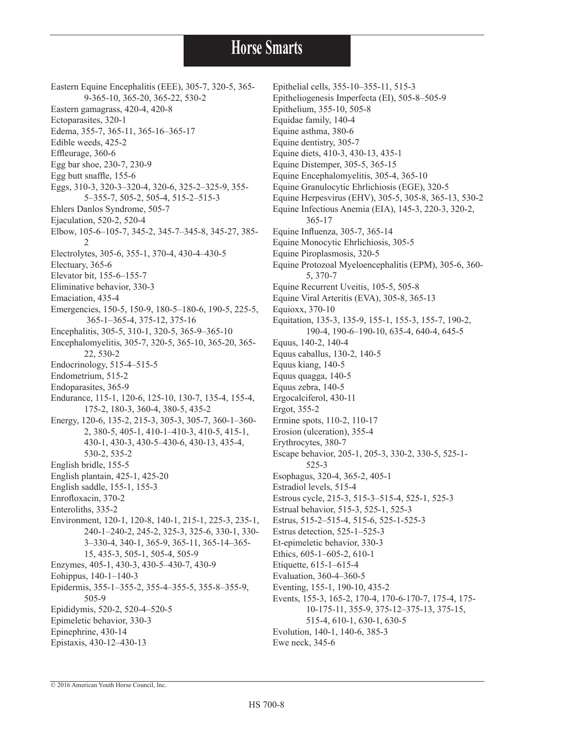Eastern Equine Encephalitis (EEE), 305-7, 320-5, 365- 9-365-10, 365-20, 365-22, 530-2 Eastern gamagrass, 420-4, 420-8 Ectoparasites, 320-1 Edema, 355-7, 365-11, 365-16–365-17 Edible weeds, 425-2 Effleurage, 360-6 Egg bar shoe, 230-7, 230-9 Egg butt snaffle, 155-6 Eggs, 310-3, 320-3–320-4, 320-6, 325-2–325-9, 355- 5–355-7, 505-2, 505-4, 515-2–515-3 Ehlers Danlos Syndrome, 505-7 Ejaculation, 520-2, 520-4 Elbow, 105-6–105-7, 345-2, 345-7–345-8, 345-27, 385- 2 Electrolytes, 305-6, 355-1, 370-4, 430-4–430-5 Electuary, 365-6 Elevator bit, 155-6–155-7 Eliminative behavior, 330-3 Emaciation, 435-4 Emergencies, 150-5, 150-9, 180-5–180-6, 190-5, 225-5, 365-1–365-4, 375-12, 375-16 Encephalitis, 305-5, 310-1, 320-5, 365-9–365-10 Encephalomyelitis, 305-7, 320-5, 365-10, 365-20, 365- 22, 530-2 Endocrinology, 515-4–515-5 Endometrium, 515-2 Endoparasites, 365-9 Endurance, 115-1, 120-6, 125-10, 130-7, 135-4, 155-4, 175-2, 180-3, 360-4, 380-5, 435-2 Energy, 120-6, 135-2, 215-3, 305-3, 305-7, 360-1–360- 2, 380-5, 405-1, 410-1–410-3, 410-5, 415-1, 430-1, 430-3, 430-5–430-6, 430-13, 435-4, 530-2, 535-2 English bridle, 155-5 English plantain, 425-1, 425-20 English saddle, 155-1, 155-3 Enrofloxacin, 370-2 Enteroliths, 335-2 Environment, 120-1, 120-8, 140-1, 215-1, 225-3, 235-1, 240-1–240-2, 245-2, 325-3, 325-6, 330-1, 330- 3–330-4, 340-1, 365-9, 365-11, 365-14–365- 15, 435-3, 505-1, 505-4, 505-9 Enzymes, 405-1, 430-3, 430-5–430-7, 430-9 Eohippus, 140-1–140-3 Epidermis, 355-1–355-2, 355-4–355-5, 355-8–355-9, 505-9 Epididymis, 520-2, 520-4–520-5 Epimeletic behavior, 330-3 Epinephrine, 430-14 Epistaxis, 430-12–430-13

Epithelial cells, 355-10–355-11, 515-3 Epitheliogenesis Imperfecta (EI), 505-8–505-9 Epithelium, 355-10, 505-8 Equidae family, 140-4 Equine asthma, 380-6 Equine dentistry, 305-7 Equine diets, 410-3, 430-13, 435-1 Equine Distemper, 305-5, 365-15 Equine Encephalomyelitis, 305-4, 365-10 Equine Granulocytic Ehrlichiosis (EGE), 320-5 Equine Herpesvirus (EHV), 305-5, 305-8, 365-13, 530-2 Equine Infectious Anemia (EIA), 145-3, 220-3, 320-2, 365-17 Equine Influenza, 305-7, 365-14 Equine Monocytic Ehrlichiosis, 305-5 Equine Piroplasmosis, 320-5 Equine Protozoal Myeloencephalitis (EPM), 305-6, 360- 5, 370-7 Equine Recurrent Uveitis, 105-5, 505-8 Equine Viral Arteritis (EVA), 305-8, 365-13 Equioxx, 370-10 Equitation, 135-3, 135-9, 155-1, 155-3, 155-7, 190-2, 190-4, 190-6–190-10, 635-4, 640-4, 645-5 Equus, 140-2, 140-4 Equus caballus, 130-2, 140-5 Equus kiang, 140-5 Equus quagga, 140-5 Equus zebra, 140-5 Ergocalciferol, 430-11 Ergot, 355-2 Ermine spots, 110-2, 110-17 Erosion (ulceration), 355-4 Erythrocytes, 380-7 Escape behavior, 205-1, 205-3, 330-2, 330-5, 525-1- 525-3 Esophagus, 320-4, 365-2, 405-1 Estradiol levels, 515-4 Estrous cycle, 215-3, 515-3–515-4, 525-1, 525-3 Estrual behavior, 515-3, 525-1, 525-3 Estrus, 515-2–515-4, 515-6, 525-1-525-3 Estrus detection, 525-1–525-3 Et-epimeletic behavior, 330-3 Ethics, 605-1–605-2, 610-1 Etiquette, 615-1–615-4 Evaluation, 360-4–360-5 Eventing, 155-1, 190-10, 435-2 Events, 155-3, 165-2, 170-4, 170-6-170-7, 175-4, 175- 10-175-11, 355-9, 375-12–375-13, 375-15, 515-4, 610-1, 630-1, 630-5 Evolution, 140-1, 140-6, 385-3 Ewe neck, 345-6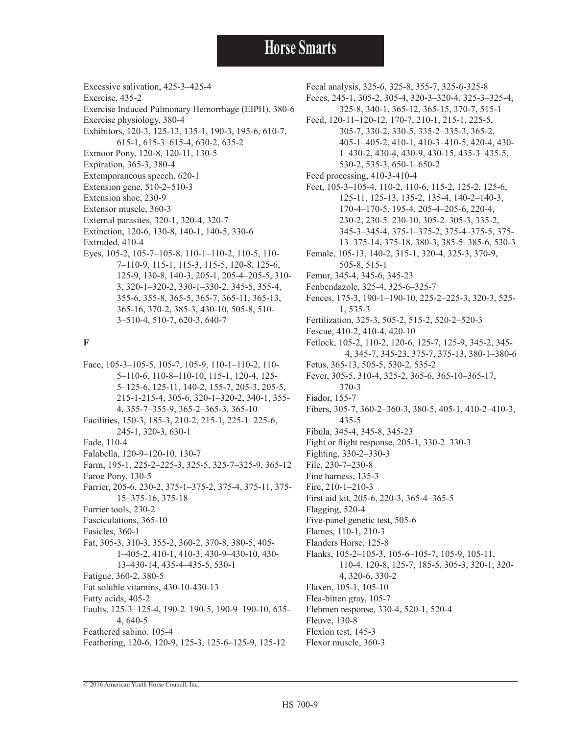Excessive salivation, 425-3–425-4

- Exercise, 435-2
- Exercise Induced Pulmonary Hemorrhage (EIPH), 380-6
- Exercise physiology, 380-4
- Exhibitors, 120-3, 125-13, 135-1, 190-3, 195-6, 610-7, 615-1, 615-3–615-4, 630-2, 635-2
- Exmoor Pony, 120-8, 120-11, 130-5
- Expiration, 365-3, 380-4
- Extemporaneous speech, 620-1
- Extension gene, 510-2–510-3
- Extension shoe, 230-9
- Extensor muscle, 360-3
- External parasites, 320-1, 320-4, 320-7
- Extinction, 120-6, 130-8, 140-1, 140-5, 330-6
- Extruded, 410-4
- Eyes, 105-2, 105-7–105-8, 110-1–110-2, 110-5, 110- 7–110-9, 115-1, 115-3, 115-5, 120-8, 125-6, 125-9, 130-8, 140-3, 205-1, 205-4–205-5, 310- 3, 320-1–320-2, 330-1–330-2, 345-5, 355-4, 355-6, 355-8, 365-5, 365-7, 365-11, 365-13, 365-16, 370-2, 385-3, 430-10, 505-8, 510- 3–510-4, 510-7, 620-3, 640-7

#### **F**

Face, 105-3–105-5, 105-7, 105-9, 110-1–110-2, 110- 5–110-6, 110-8–110-10, 115-1, 120-4, 125- 5–125-6, 125-11, 140-2, 155-7, 205-3, 205-5, 215-1-215-4, 305-6, 320-1–320-2, 340-1, 355- 4, 355-7–355-9, 365-2–365-3, 365-10 Facilities, 150-3, 185-3, 210-2, 215-1, 225-1–225-6, 245-1, 320-3, 630-1 Fade, 110-4 Falabella, 120-9–120-10, 130-7 Farm, 195-1, 225-2–225-3, 325-5, 325-7–325-9, 365-12 Faroe Pony, 130-5 Farrier, 205-6, 230-2, 375-1–375-2, 375-4, 375-11, 375- 15–375-16, 375-18 Farrier tools, 230-2 Fasciculations, 365-10 Fasicles, 360-1 Fat, 305-3, 310-3, 355-2, 360-2, 370-8, 380-5, 405- 1–405-2, 410-1, 410-3, 430-9–430-10, 430- 13–430-14, 435-4–435-5, 530-1 Fatigue, 360-2, 380-5 Fat soluble vitamins, 430-10-430-13 Fatty acids, 405-2 Faults, 125-3–125-4, 190-2–190-5, 190-9–190-10, 635- 4, 640-5 Feathered sabino, 105-4 Feathering, 120-6, 120-9, 125-3, 125-6–125-9, 125-12

Fecal analysis, 325-6, 325-8, 355-7, 325-6-325-8 Feces, 245-1, 305-2, 305-4, 320-3–320-4, 325-3–325-4, 325-8, 340-1, 365-12, 365-15, 370-7, 515-1 Feed, 120-11–120-12, 170-7, 210-1, 215-1, 225-5, 305-7, 330-2, 330-5, 335-2–335-3, 365-2, 405-1–405-2, 410-1, 410-3–410-5, 420-4, 430- 1–430-2, 430-4, 430-9, 430-15, 435-3–435-5, 530-2, 535-3, 650-1–650-2 Feed processing, 410-3-410-4 Feet, 105-3–105-4, 110-2, 110-6, 115-2, 125-2, 125-6, 125-11, 125-13, 135-2, 135-4, 140-2–140-3, 170-4–170-5, 195-4, 205-4–205-6, 220-4, 230-2, 230-5–230-10, 305-2–305-3, 335-2, 345-3–345-4, 375-1–375-2, 375-4–375-5, 375- 13–375-14, 375-18, 380-3, 385-5–385-6, 530-3 Female, 105-13, 140-2, 315-1, 320-4, 325-3, 370-9, 505-8, 515-1 Femur, 345-4, 345-6, 345-23 Fenbendazole, 325-4, 325-6–325-7 Fences, 175-3, 190-1–190-10, 225-2–225-3, 320-3, 525- 1, 535-3 Fertilization, 325-3, 505-2, 515-2, 520-2–520-3 Fescue, 410-2, 410-4, 420-10 Fetlock, 105-2, 110-2, 120-6, 125-7, 125-9, 345-2, 345- 4, 345-7, 345-23, 375-7, 375-13, 380-1–380-6 Fetus, 365-13, 505-5, 530-2, 535-2 Fever, 305-5, 310-4, 325-2, 365-6, 365-10–365-17, 370-3 Fiador, 155-7 Fibers, 305-7, 360-2–360-3, 380-5, 405-1, 410-2–410-3, 435-5 Fibula, 345-4, 345-8, 345-23 Fight or flight response, 205-1, 330-2–330-3 Fighting, 330-2–330-3 File, 230-7–230-8 Fine harness, 135-3 Fire, 210-1–210-3 First aid kit, 205-6, 220-3, 365-4–365-5 Flagging, 520-4 Five-panel genetic test, 505-6 Flames, 110-1, 210-3 Flanders Horse, 125-8 Flanks, 105-2–105-3, 105-6–105-7, 105-9, 105-11, 110-4, 120-8, 125-7, 185-5, 305-3, 320-1, 320- 4, 320-6, 330-2 Flaxen, 105-1, 105-10 Flea-bitten gray, 105-7 Flehmen response, 330-4, 520-1, 520-4 Fleuve, 130-8 Flexion test, 145-3 Flexor muscle, 360-3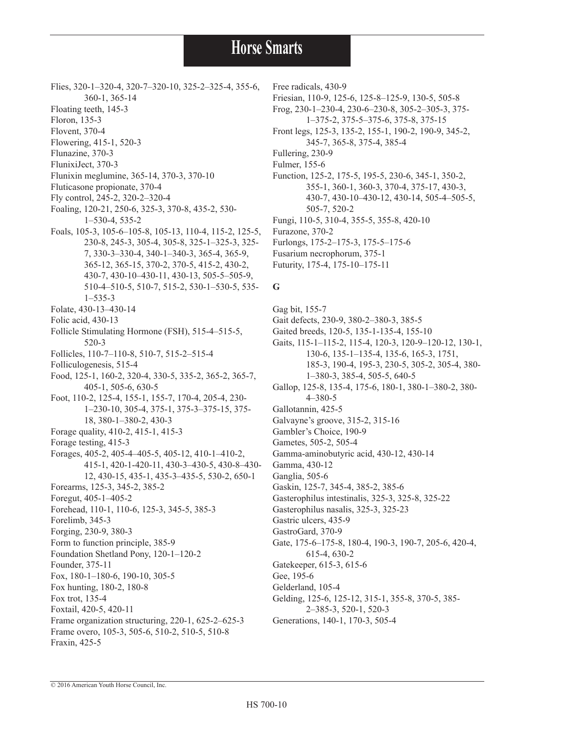- Flies, 320-1–320-4, 320-7–320-10, 325-2–325-4, 355-6,
- 360-1, 365-14
- Floating teeth, 145-3
- Floron, 135-3
- Flovent, 370-4
- Flowering, 415-1, 520-3
- Flunazine, 370-3
- FlunixiJect, 370-3
- Flunixin meglumine, 365-14, 370-3, 370-10
- Fluticasone propionate, 370-4
- Fly control, 245-2, 320-2–320-4
- Foaling, 120-21, 250-6, 325-3, 370-8, 435-2, 530- 1–530-4, 535-2
- Foals, 105-3, 105-6–105-8, 105-13, 110-4, 115-2, 125-5, 230-8, 245-3, 305-4, 305-8, 325-1–325-3, 325- 7, 330-3–330-4, 340-1–340-3, 365-4, 365-9, 365-12, 365-15, 370-2, 370-5, 415-2, 430-2, 430-7, 430-10–430-11, 430-13, 505-5–505-9, 510-4–510-5, 510-7, 515-2, 530-1–530-5, 535- 1–535-3
- Folate, 430-13–430-14
- Folic acid, 430-13
- Follicle Stimulating Hormone (FSH), 515-4–515-5, 520-3
- Follicles, 110-7–110-8, 510-7, 515-2–515-4
- Folliculogenesis, 515-4
- Food, 125-1, 160-2, 320-4, 330-5, 335-2, 365-2, 365-7, 405-1, 505-6, 630-5
- Foot, 110-2, 125-4, 155-1, 155-7, 170-4, 205-4, 230- 1–230-10, 305-4, 375-1, 375-3–375-15, 375- 18, 380-1–380-2, 430-3
- Forage quality, 410-2, 415-1, 415-3
- Forage testing, 415-3
- Forages, 405-2, 405-4–405-5, 405-12, 410-1–410-2, 415-1, 420-1-420-11, 430-3–430-5, 430-8–430- 12, 430-15, 435-1, 435-3–435-5, 530-2, 650-1 Forearms, 125-3, 345-2, 385-2 Foregut, 405-1–405-2 Forehead, 110-1, 110-6, 125-3, 345-5, 385-3 Forelimb, 345-3 Forging, 230-9, 380-3
- Form to function principle, 385-9
- Foundation Shetland Pony, 120-1–120-2
- Founder, 375-11
- Fox, 180-1–180-6, 190-10, 305-5
- Fox hunting, 180-2, 180-8
- Fox trot, 135-4
- Foxtail, 420-5, 420-11
- Frame organization structuring, 220-1, 625-2–625-3 Frame overo, 105-3, 505-6, 510-2, 510-5, 510-8
- Fraxin, 425-5
- Free radicals, 430-9
	- Friesian, 110-9, 125-6, 125-8–125-9, 130-5, 505-8
	- Frog, 230-1–230-4, 230-6–230-8, 305-2–305-3, 375-
	- 1–375-2, 375-5–375-6, 375-8, 375-15
	- Front legs, 125-3, 135-2, 155-1, 190-2, 190-9, 345-2, 345-7, 365-8, 375-4, 385-4
	- Fullering, 230-9
	- Fulmer, 155-6
	- Function, 125-2, 175-5, 195-5, 230-6, 345-1, 350-2, 355-1, 360-1, 360-3, 370-4, 375-17, 430-3, 430-7, 430-10–430-12, 430-14, 505-4–505-5, 505-7, 520-2
	- Fungi, 110-5, 310-4, 355-5, 355-8, 420-10
	- Furazone, 370-2
	- Furlongs, 175-2–175-3, 175-5–175-6
	- Fusarium necrophorum, 375-1
	- Futurity, 175-4, 175-10–175-11

#### **G**

- Gag bit, 155-7 Gait defects, 230-9, 380-2–380-3, 385-5 Gaited breeds, 120-5, 135-1-135-4, 155-10 Gaits, 115-1–115-2, 115-4, 120-3, 120-9–120-12, 130-1, 130-6, 135-1–135-4, 135-6, 165-3, 1751, 185-3, 190-4, 195-3, 230-5, 305-2, 305-4, 380- 1–380-3, 385-4, 505-5, 640-5 Gallop, 125-8, 135-4, 175-6, 180-1, 380-1–380-2, 380- 4–380-5 Gallotannin, 425-5 Galvayne's groove, 315-2, 315-16
- Gambler's Choice, 190-9
- Gametes, 505-2, 505-4
- Gamma-aminobutyric acid, 430-12, 430-14
- Gamma, 430-12
- Ganglia, 505-6
- Gaskin, 125-7, 345-4, 385-2, 385-6
- Gasterophilus intestinalis, 325-3, 325-8, 325-22
- Gasterophilus nasalis, 325-3, 325-23
- Gastric ulcers, 435-9
- GastroGard, 370-9
- Gate, 175-6–175-8, 180-4, 190-3, 190-7, 205-6, 420-4,
- 615-4, 630-2
- Gatekeeper, 615-3, 615-6
- Gee, 195-6
- Gelderland, 105-4
- Gelding, 125-6, 125-12, 315-1, 355-8, 370-5, 385-
- 2–385-3, 520-1, 520-3
- Generations, 140-1, 170-3, 505-4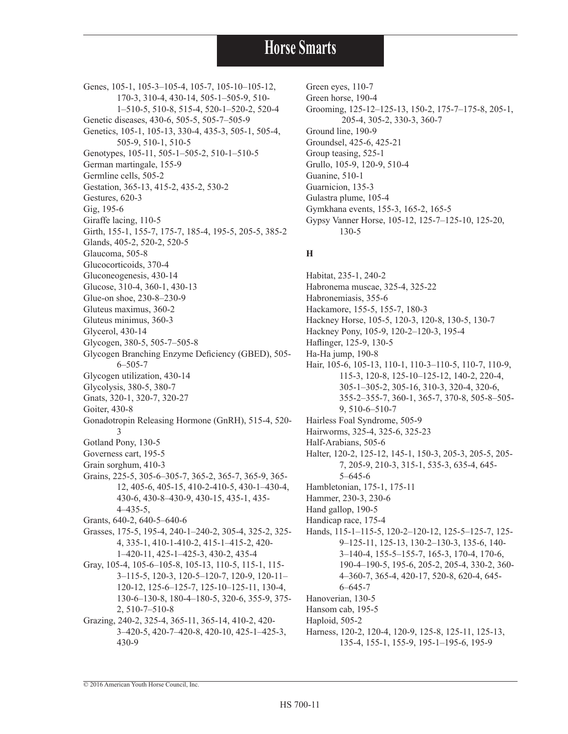Genes, 105-1, 105-3-105-4, 105-7, 105-10-105-12, 170-3, 310-4, 430-14, 505-1–505-9, 510- 1–510-5, 510-8, 515-4, 520-1–520-2, 520-4 Genetic diseases, 430-6, 505-5, 505-7–505-9 Genetics, 105-1, 105-13, 330-4, 435-3, 505-1, 505-4, 505-9, 510-1, 510-5 Genotypes, 105-11, 505-1–505-2, 510-1–510-5 German martingale, 155-9 Germline cells, 505-2 Gestation, 365-13, 415-2, 435-2, 530-2 Gestures, 620-3 Gig, 195-6 Giraffe lacing, 110-5 Girth, 155-1, 155-7, 175-7, 185-4, 195-5, 205-5, 385-2 Glands, 405-2, 520-2, 520-5 Glaucoma, 505-8 Glucocorticoids, 370-4 Gluconeogenesis, 430-14 Glucose, 310-4, 360-1, 430-13 Glue-on shoe, 230-8–230-9 Gluteus maximus, 360-2 Gluteus minimus, 360-3 Glycerol, 430-14 Glycogen, 380-5, 505-7–505-8 Glycogen Branching Enzyme Deficiency (GBED), 505- 6–505-7 Glycogen utilization, 430-14 Glycolysis, 380-5, 380-7 Gnats, 320-1, 320-7, 320-27 Goiter, 430-8 Gonadotropin Releasing Hormone (GnRH), 515-4, 520- 3 Gotland Pony, 130-5 Governess cart, 195-5 Grain sorghum, 410-3 Grains, 225-5, 305-6–305-7, 365-2, 365-7, 365-9, 365- 12, 405-6, 405-15, 410-2-410-5, 430-1–430-4, 430-6, 430-8–430-9, 430-15, 435-1, 435- 4–435-5, Grants, 640-2, 640-5–640-6 Grasses, 175-5, 195-4, 240-1–240-2, 305-4, 325-2, 325- 4, 335-1, 410-1-410-2, 415-1–415-2, 420- 1–420-11, 425-1–425-3, 430-2, 435-4 Gray, 105-4, 105-6–105-8, 105-13, 110-5, 115-1, 115- 3–115-5, 120-3, 120-5–120-7, 120-9, 120-11– 120-12, 125-6–125-7, 125-10–125-11, 130-4, 130-6–130-8, 180-4–180-5, 320-6, 355-9, 375- 2, 510-7–510-8 Grazing, 240-2, 325-4, 365-11, 365-14, 410-2, 420- 3–420-5, 420-7–420-8, 420-10, 425-1–425-3, 430-9

Green eyes, 110-7 Green horse, 190-4 Grooming, 125-12–125-13, 150-2, 175-7–175-8, 205-1, 205-4, 305-2, 330-3, 360-7 Ground line, 190-9 Groundsel, 425-6, 425-21 Group teasing, 525-1 Grullo, 105-9, 120-9, 510-4 Guanine, 510-1 Guarnicion, 135-3 Gulastra plume, 105-4 Gymkhana events, 155-3, 165-2, 165-5 Gypsy Vanner Horse, 105-12, 125-7–125-10, 125-20, 130-5

#### **H**

Habitat, 235-1, 240-2 Habronema muscae, 325-4, 325-22 Habronemiasis, 355-6 Hackamore, 155-5, 155-7, 180-3 Hackney Horse, 105-5, 120-3, 120-8, 130-5, 130-7 Hackney Pony, 105-9, 120-2–120-3, 195-4 Haflinger, 125-9, 130-5 Ha-Ha jump, 190-8 Hair, 105-6, 105-13, 110-1, 110-3–110-5, 110-7, 110-9, 115-3, 120-8, 125-10–125-12, 140-2, 220-4, 305-1–305-2, 305-16, 310-3, 320-4, 320-6, 355-2–355-7, 360-1, 365-7, 370-8, 505-8–505- 9, 510-6–510-7 Hairless Foal Syndrome, 505-9 Hairworms, 325-4, 325-6, 325-23 Half-Arabians, 505-6 Halter, 120-2, 125-12, 145-1, 150-3, 205-3, 205-5, 205- 7, 205-9, 210-3, 315-1, 535-3, 635-4, 645- 5–645-6 Hambletonian, 175-1, 175-11 Hammer, 230-3, 230-6 Hand gallop, 190-5 Handicap race, 175-4 Hands, 115-1–115-5, 120-2–120-12, 125-5–125-7, 125- 9–125-11, 125-13, 130-2–130-3, 135-6, 140- 3–140-4, 155-5–155-7, 165-3, 170-4, 170-6, 190-4–190-5, 195-6, 205-2, 205-4, 330-2, 360- 4–360-7, 365-4, 420-17, 520-8, 620-4, 645- 6–645-7 Hanoverian, 130-5 Hansom cab, 195-5 Haploid, 505-2 Harness, 120-2, 120-4, 120-9, 125-8, 125-11, 125-13, 135-4, 155-1, 155-9, 195-1–195-6, 195-9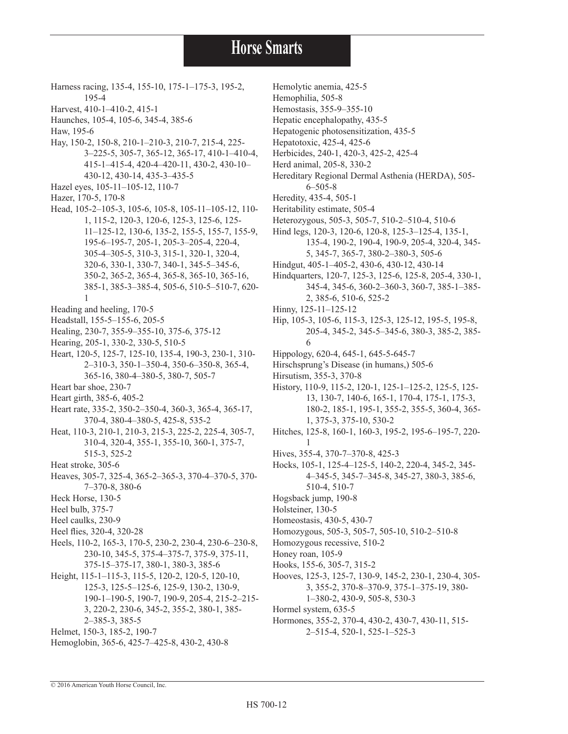- Harness racing, 135-4, 155-10, 175-1–175-3, 195-2, 195-4
- Harvest, 410-1–410-2, 415-1
- Haunches, 105-4, 105-6, 345-4, 385-6
- Haw, 195-6
- Hay, 150-2, 150-8, 210-1–210-3, 210-7, 215-4, 225- 3–225-5, 305-7, 365-12, 365-17, 410-1–410-4, 415-1–415-4, 420-4–420-11, 430-2, 430-10– 430-12, 430-14, 435-3–435-5
- Hazel eyes, 105-11–105-12, 110-7
- Hazer, 170-5, 170-8
- Head, 105-2–105-3, 105-6, 105-8, 105-11–105-12, 110- 1, 115-2, 120-3, 120-6, 125-3, 125-6, 125- 11–125-12, 130-6, 135-2, 155-5, 155-7, 155-9, 195-6–195-7, 205-1, 205-3–205-4, 220-4, 305-4–305-5, 310-3, 315-1, 320-1, 320-4, 320-6, 330-1, 330-7, 340-1, 345-5–345-6, 350-2, 365-2, 365-4, 365-8, 365-10, 365-16, 385-1, 385-3–385-4, 505-6, 510-5–510-7, 620- 1
- Heading and heeling, 170-5
- Headstall, 155-5–155-6, 205-5
- Healing, 230-7, 355-9–355-10, 375-6, 375-12
- Hearing, 205-1, 330-2, 330-5, 510-5
- Heart, 120-5, 125-7, 125-10, 135-4, 190-3, 230-1, 310- 2–310-3, 350-1–350-4, 350-6–350-8, 365-4, 365-16, 380-4–380-5, 380-7, 505-7
- Heart bar shoe, 230-7
- Heart girth, 385-6, 405-2
- Heart rate, 335-2, 350-2–350-4, 360-3, 365-4, 365-17, 370-4, 380-4–380-5, 425-8, 535-2
- Heat, 110-3, 210-1, 210-3, 215-3, 225-2, 225-4, 305-7, 310-4, 320-4, 355-1, 355-10, 360-1, 375-7, 515-3, 525-2
- Heat stroke, 305-6
- Heaves, 305-7, 325-4, 365-2–365-3, 370-4–370-5, 370- 7–370-8, 380-6
- Heck Horse, 130-5
- Heel bulb, 375-7
- Heel caulks, 230-9
- Heel flies, 320-4, 320-28
- Heels, 110-2, 165-3, 170-5, 230-2, 230-4, 230-6–230-8, 230-10, 345-5, 375-4–375-7, 375-9, 375-11, 375-15–375-17, 380-1, 380-3, 385-6
- Height, 115-1–115-3, 115-5, 120-2, 120-5, 120-10, 125-3, 125-5–125-6, 125-9, 130-2, 130-9, 190-1–190-5, 190-7, 190-9, 205-4, 215-2–215- 3, 220-2, 230-6, 345-2, 355-2, 380-1, 385- 2–385-3, 385-5
- Helmet, 150-3, 185-2, 190-7
- Hemoglobin, 365-6, 425-7–425-8, 430-2, 430-8
- Hemolytic anemia, 425-5
- Hemophilia, 505-8
- Hemostasis, 355-9–355-10
- Hepatic encephalopathy, 435-5
- Hepatogenic photosensitization, 435-5
- Hepatotoxic, 425-4, 425-6
- Herbicides, 240-1, 420-3, 425-2, 425-4
- Herd animal, 205-8, 330-2
- Hereditary Regional Dermal Asthenia (HERDA), 505- 6–505-8
- Heredity, 435-4, 505-1
- Heritability estimate, 505-4
- Heterozygous, 505-3, 505-7, 510-2–510-4, 510-6
- Hind legs, 120-3, 120-6, 120-8, 125-3–125-4, 135-1, 135-4, 190-2, 190-4, 190-9, 205-4, 320-4, 345- 5, 345-7, 365-7, 380-2–380-3, 505-6
- Hindgut, 405-1–405-2, 430-6, 430-12, 430-14
- Hindquarters, 120-7, 125-3, 125-6, 125-8, 205-4, 330-1, 345-4, 345-6, 360-2–360-3, 360-7, 385-1–385- 2, 385-6, 510-6, 525-2
- Hinny, 125-11–125-12
- Hip, 105-3, 105-6, 115-3, 125-3, 125-12, 195-5, 195-8, 205-4, 345-2, 345-5–345-6, 380-3, 385-2, 385- 6
- Hippology, 620-4, 645-1, 645-5-645-7
- Hirschsprung's Disease (in humans,) 505-6
- Hirsutism, 355-3, 370-8
- History, 110-9, 115-2, 120-1, 125-1–125-2, 125-5, 125- 13, 130-7, 140-6, 165-1, 170-4, 175-1, 175-3, 180-2, 185-1, 195-1, 355-2, 355-5, 360-4, 365- 1, 375-3, 375-10, 530-2
- Hitches, 125-8, 160-1, 160-3, 195-2, 195-6–195-7, 220- 1
- Hives, 355-4, 370-7–370-8, 425-3
- Hocks, 105-1, 125-4–125-5, 140-2, 220-4, 345-2, 345- 4–345-5, 345-7–345-8, 345-27, 380-3, 385-6, 510-4, 510-7
- Hogsback jump, 190-8
- Holsteiner, 130-5
- Homeostasis, 430-5, 430-7
- Homozygous, 505-3, 505-7, 505-10, 510-2–510-8
- Homozygous recessive, 510-2
- Honey roan, 105-9
- Hooks, 155-6, 305-7, 315-2
- Hooves, 125-3, 125-7, 130-9, 145-2, 230-1, 230-4, 305- 3, 355-2, 370-8–370-9, 375-1–375-19, 380-
	- 1–380-2, 430-9, 505-8, 530-3
- Hormel system, 635-5
- Hormones, 355-2, 370-4, 430-2, 430-7, 430-11, 515- 2–515-4, 520-1, 525-1–525-3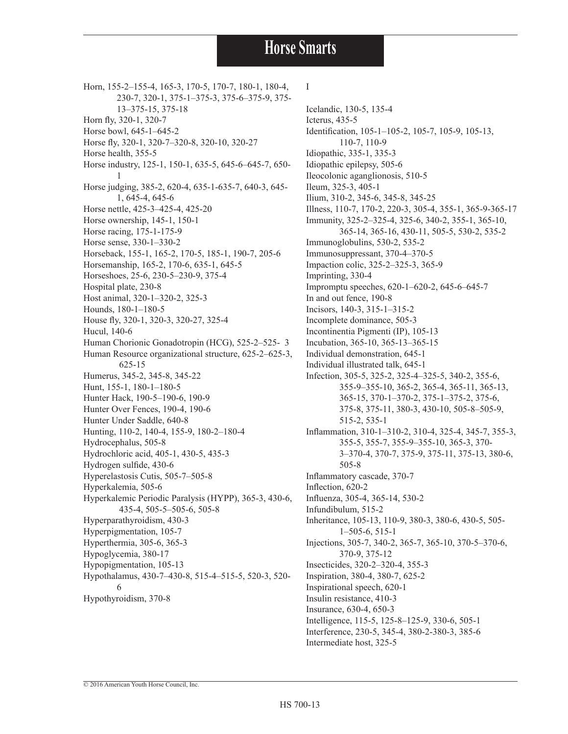Horn, 155-2–155-4, 165-3, 170-5, 170-7, 180-1, 180-4, 230-7, 320-1, 375-1–375-3, 375-6–375-9, 375- 13–375-15, 375-18 Horn fly, 320-1, 320-7 Horse bowl, 645-1–645-2 Horse fly, 320-1, 320-7–320-8, 320-10, 320-27 Horse health, 355-5 Horse industry, 125-1, 150-1, 635-5, 645-6–645-7, 650- 1 Horse judging, 385-2, 620-4, 635-1-635-7, 640-3, 645- 1, 645-4, 645-6 Horse nettle, 425-3–425-4, 425-20 Horse ownership, 145-1, 150-1 Horse racing, 175-1-175-9 Horse sense, 330-1–330-2 Horseback, 155-1, 165-2, 170-5, 185-1, 190-7, 205-6 Horsemanship, 165-2, 170-6, 635-1, 645-5 Horseshoes, 25-6, 230-5–230-9, 375-4 Hospital plate, 230-8 Host animal, 320-1–320-2, 325-3 Hounds, 180-1–180-5 House fly, 320-1, 320-3, 320-27, 325-4 Hucul, 140-6 Human Chorionic Gonadotropin (HCG), 525-2–525- 3 Human Resource organizational structure, 625-2–625-3, 625-15 Humerus, 345-2, 345-8, 345-22 Hunt, 155-1, 180-1–180-5 Hunter Hack, 190-5–190-6, 190-9 Hunter Over Fences, 190-4, 190-6 Hunter Under Saddle, 640-8 Hunting, 110-2, 140-4, 155-9, 180-2–180-4 Hydrocephalus, 505-8 Hydrochloric acid, 405-1, 430-5, 435-3 Hydrogen sulfide, 430-6 Hyperelastosis Cutis, 505-7–505-8 Hyperkalemia, 505-6 Hyperkalemic Periodic Paralysis (HYPP), 365-3, 430-6, 435-4, 505-5–505-6, 505-8 Hyperparathyroidism, 430-3 Hyperpigmentation, 105-7 Hyperthermia, 305-6, 365-3 Hypoglycemia, 380-17 Hypopigmentation, 105-13 Hypothalamus, 430-7–430-8, 515-4–515-5, 520-3, 520- 6 Hypothyroidism, 370-8

#### I

Icelandic, 130-5, 135-4 Icterus, 435-5 Identification, 105-1–105-2, 105-7, 105-9, 105-13, 110-7, 110-9 Idiopathic, 335-1, 335-3 Idiopathic epilepsy, 505-6 Ileocolonic aganglionosis, 510-5 Ileum, 325-3, 405-1 Ilium, 310-2, 345-6, 345-8, 345-25 Illness, 110-7, 170-2, 220-3, 305-4, 355-1, 365-9-365-17 Immunity, 325-2–325-4, 325-6, 340-2, 355-1, 365-10, 365-14, 365-16, 430-11, 505-5, 530-2, 535-2 Immunoglobulins, 530-2, 535-2 Immunosuppressant, 370-4–370-5 Impaction colic, 325-2–325-3, 365-9 Imprinting, 330-4 Impromptu speeches, 620-1–620-2, 645-6–645-7 In and out fence, 190-8 Incisors, 140-3, 315-1–315-2 Incomplete dominance, 505-3 Incontinentia Pigmenti (IP), 105-13 Incubation, 365-10, 365-13–365-15 Individual demonstration, 645-1 Individual illustrated talk, 645-1 Infection, 305-5, 325-2, 325-4–325-5, 340-2, 355-6, 355-9–355-10, 365-2, 365-4, 365-11, 365-13, 365-15, 370-1–370-2, 375-1–375-2, 375-6, 375-8, 375-11, 380-3, 430-10, 505-8–505-9, 515-2, 535-1 Inflammation, 310-1–310-2, 310-4, 325-4, 345-7, 355-3, 355-5, 355-7, 355-9–355-10, 365-3, 370- 3–370-4, 370-7, 375-9, 375-11, 375-13, 380-6, 505-8 Inflammatory cascade, 370-7 Inflection, 620-2 Influenza, 305-4, 365-14, 530-2 Infundibulum, 515-2 Inheritance, 105-13, 110-9, 380-3, 380-6, 430-5, 505- 1–505-6, 515-1 Injections, 305-7, 340-2, 365-7, 365-10, 370-5–370-6, 370-9, 375-12 Insecticides, 320-2–320-4, 355-3 Inspiration, 380-4, 380-7, 625-2 Inspirational speech, 620-1 Insulin resistance, 410-3 Insurance, 630-4, 650-3 Intelligence, 115-5, 125-8–125-9, 330-6, 505-1 Interference, 230-5, 345-4, 380-2-380-3, 385-6 Intermediate host, 325-5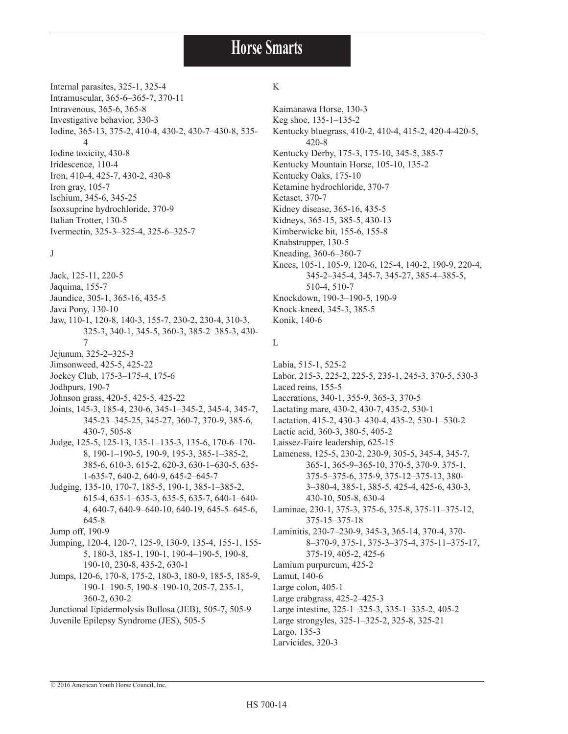Internal parasites, 325-1, 325-4 Intramuscular, 365-6–365-7, 370-11 Intravenous, 365-6, 365-8 Investigative behavior, 330-3 Iodine, 365-13, 375-2, 410-4, 430-2, 430-7–430-8, 535- 4 Iodine toxicity, 430-8 Iridescence, 110-4 Iron, 410-4, 425-7, 430-2, 430-8 Iron gray, 105-7 Ischium, 345-6, 345-25 Isoxsuprine hydrochloride, 370-9 Italian Trotter, 130-5 Ivermectin, 325-3–325-4, 325-6–325-7

#### J

Jack, 125-11, 220-5 Jaquima, 155-7 Jaundice, 305-1, 365-16, 435-5 Java Pony, 130-10 Jaw, 110-1, 120-8, 140-3, 155-7, 230-2, 230-4, 310-3, 325-3, 340-1, 345-5, 360-3, 385-2–385-3, 430- 7 Jejunum, 325-2–325-3 Jimsonweed, 425-5, 425-22 Jockey Club, 175-3–175-4, 175-6 Jodhpurs, 190-7 Johnson grass, 420-5, 425-5, 425-22 Joints, 145-3, 185-4, 230-6, 345-1–345-2, 345-4, 345-7, 345-23–345-25, 345-27, 360-7, 370-9, 385-6, 430-7, 505-8 Judge, 125-5, 125-13, 135-1–135-3, 135-6, 170-6–170- 8, 190-1–190-5, 190-9, 195-3, 385-1–385-2, 385-6, 610-3, 615-2, 620-3, 630-1–630-5, 635- 1-635-7, 640-2, 640-9, 645-2–645-7 Judging, 135-10, 170-7, 185-5, 190-1, 385-1–385-2, 615-4, 635-1–635-3, 635-5, 635-7, 640-1–640-

- 4, 640-7, 640-9–640-10, 640-19, 645-5–645-6, 645-8 Jump off, 190-9
- Jumping, 120-4, 120-7, 125-9, 130-9, 135-4, 155-1, 155- 5, 180-3, 185-1, 190-1, 190-4–190-5, 190-8, 190-10, 230-8, 435-2, 630-1
- Jumps, 120-6, 170-8, 175-2, 180-3, 180-9, 185-5, 185-9, 190-1–190-5, 190-8–190-10, 205-7, 235-1, 360-2, 630-2

Junctional Epidermolysis Bullosa (JEB), 505-7, 505-9 Juvenile Epilepsy Syndrome (JES), 505-5

#### K

Kaimanawa Horse, 130-3 Keg shoe, 135-1–135-2 Kentucky bluegrass, 410-2, 410-4, 415-2, 420-4-420-5, 420-8 Kentucky Derby, 175-3, 175-10, 345-5, 385-7 Kentucky Mountain Horse, 105-10, 135-2 Kentucky Oaks, 175-10 Ketamine hydrochloride, 370-7 Ketaset, 370-7 Kidney disease, 365-16, 435-5 Kidneys, 365-15, 385-5, 430-13 Kimberwicke bit, 155-6, 155-8 Knabstrupper, 130-5 Kneading, 360-6–360-7 Knees, 105-1, 105-9, 120-6, 125-4, 140-2, 190-9, 220-4, 345-2–345-4, 345-7, 345-27, 385-4–385-5, 510-4, 510-7 Knockdown, 190-3–190-5, 190-9 Knock-kneed, 345-3, 385-5 Konik, 140-6

#### L

Labia, 515-1, 525-2 Labor, 215-3, 225-2, 225-5, 235-1, 245-3, 370-5, 530-3 Laced reins, 155-5 Lacerations, 340-1, 355-9, 365-3, 370-5 Lactating mare, 430-2, 430-7, 435-2, 530-1 Lactation, 415-2, 430-3–430-4, 435-2, 530-1–530-2 Lactic acid, 360-3, 380-5, 405-2 Laissez-Faire leadership, 625-15 Lameness, 125-5, 230-2, 230-9, 305-5, 345-4, 345-7, 365-1, 365-9–365-10, 370-5, 370-9, 375-1, 375-5–375-6, 375-9, 375-12–375-13, 380- 3–380-4, 385-1, 385-5, 425-4, 425-6, 430-3, 430-10, 505-8, 630-4 Laminae, 230-1, 375-3, 375-6, 375-8, 375-11–375-12, 375-15–375-18 Laminitis, 230-7–230-9, 345-3, 365-14, 370-4, 370- 375-19, 405-2, 425-6 Lamium purpureum, 425-2 Lamut, 140-6 Large colon, 405-1 Large crabgrass, 425-2–425-3 Large intestine, 325-1–325-3, 335-1–335-2, 405-2 Large strongyles, 325-1–325-2, 325-8, 325-21

8–370-9, 375-1, 375-3–375-4, 375-11–375-17,

Largo, 135-3 Larvicides, 320-3

© 2016 American Youth Horse Council, Inc.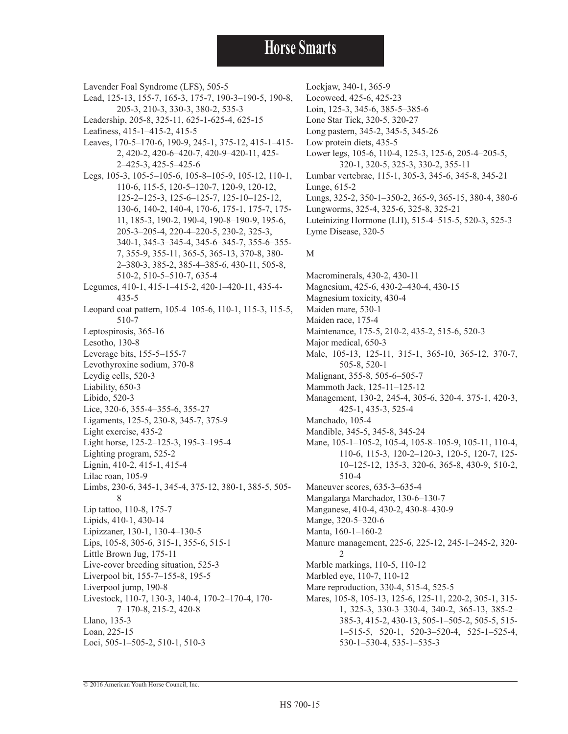Lavender Foal Syndrome (LFS), 505-5 Lead, 125-13, 155-7, 165-3, 175-7, 190-3–190-5, 190-8, 205-3, 210-3, 330-3, 380-2, 535-3 Leadership, 205-8, 325-11, 625-1-625-4, 625-15 Leafiness, 415-1–415-2, 415-5 Leaves, 170-5–170-6, 190-9, 245-1, 375-12, 415-1–415- 2, 420-2, 420-6–420-7, 420-9–420-11, 425- 2–425-3, 425-5–425-6 Legs, 105-3, 105-5–105-6, 105-8–105-9, 105-12, 110-1, 110-6, 115-5, 120-5–120-7, 120-9, 120-12, 125-2–125-3, 125-6–125-7, 125-10–125-12, 130-6, 140-2, 140-4, 170-6, 175-1, 175-7, 175- 11, 185-3, 190-2, 190-4, 190-8–190-9, 195-6, 205-3–205-4, 220-4–220-5, 230-2, 325-3, 340-1, 345-3–345-4, 345-6–345-7, 355-6–355- 7, 355-9, 355-11, 365-5, 365-13, 370-8, 380- 2–380-3, 385-2, 385-4–385-6, 430-11, 505-8, 510-2, 510-5–510-7, 635-4 Legumes, 410-1, 415-1–415-2, 420-1–420-11, 435-4- 435-5 Leopard coat pattern, 105-4–105-6, 110-1, 115-3, 115-5, 510-7 Leptospirosis, 365-16 Lesotho, 130-8 Leverage bits, 155-5–155-7 Levothyroxine sodium, 370-8 Leydig cells, 520-3 Liability, 650-3 Libido, 520-3 Lice, 320-6, 355-4–355-6, 355-27 Ligaments, 125-5, 230-8, 345-7, 375-9 Light exercise, 435-2 Light horse, 125-2–125-3, 195-3–195-4 Lighting program, 525-2 Lignin, 410-2, 415-1, 415-4 Lilac roan, 105-9 Limbs, 230-6, 345-1, 345-4, 375-12, 380-1, 385-5, 505- 8 Lip tattoo, 110-8, 175-7 Lipids, 410-1, 430-14 Lipizzaner, 130-1, 130-4–130-5 Lips, 105-8, 305-6, 315-1, 355-6, 515-1 Little Brown Jug, 175-11 Live-cover breeding situation, 525-3 Liverpool bit, 155-7–155-8, 195-5 Liverpool jump, 190-8 Livestock, 110-7, 130-3, 140-4, 170-2–170-4, 170- 7–170-8, 215-2, 420-8 Llano, 135-3 Loan, 225-15 Loci, 505-1–505-2, 510-1, 510-3

Lockjaw, 340-1, 365-9 Locoweed, 425-6, 425-23 Loin, 125-3, 345-6, 385-5–385-6 Lone Star Tick, 320-5, 320-27 Long pastern, 345-2, 345-5, 345-26 Low protein diets, 435-5 Lower legs, 105-6, 110-4, 125-3, 125-6, 205-4–205-5, 320-1, 320-5, 325-3, 330-2, 355-11 Lumbar vertebrae, 115-1, 305-3, 345-6, 345-8, 345-21 Lunge, 615-2 Lungs, 325-2, 350-1–350-2, 365-9, 365-15, 380-4, 380-6 Lungworms, 325-4, 325-6, 325-8, 325-21 Luteinizing Hormone (LH), 515-4–515-5, 520-3, 525-3 Lyme Disease, 320-5

#### M

Macrominerals, 430-2, 430-11 Magnesium, 425-6, 430-2–430-4, 430-15 Magnesium toxicity, 430-4 Maiden mare, 530-1 Maiden race, 175-4 Maintenance, 175-5, 210-2, 435-2, 515-6, 520-3 Major medical, 650-3 Male, 105-13, 125-11, 315-1, 365-10, 365-12, 370-7, 505-8, 520-1 Malignant, 355-8, 505-6–505-7 Mammoth Jack, 125-11–125-12 Management, 130-2, 245-4, 305-6, 320-4, 375-1, 420-3, 425-1, 435-3, 525-4 Manchado, 105-4 Mandible, 345-5, 345-8, 345-24 Mane, 105-1-105-2, 105-4, 105-8-105-9, 105-11, 110-4, 110-6, 115-3, 120-2–120-3, 120-5, 120-7, 125- 10–125-12, 135-3, 320-6, 365-8, 430-9, 510-2, 510-4 Maneuver scores, 635-3–635-4 Mangalarga Marchador, 130-6–130-7 Manganese, 410-4, 430-2, 430-8–430-9 Mange, 320-5–320-6 Manta, 160-1–160-2 Manure management, 225-6, 225-12, 245-1–245-2, 320-  $\mathcal{D}$ Marble markings, 110-5, 110-12 Marbled eye, 110-7, 110-12 Mare reproduction, 330-4, 515-4, 525-5 Mares, 105-8, 105-13, 125-6, 125-11, 220-2, 305-1, 315-1, 325-3, 330-3–330-4, 340-2, 365-13, 385-2– 385-3, 415-2, 430-13, 505-1–505-2, 505-5, 515- 1–515-5, 520-1, 520-3–520-4, 525-1–525-4, 530-1–530-4, 535-1–535-3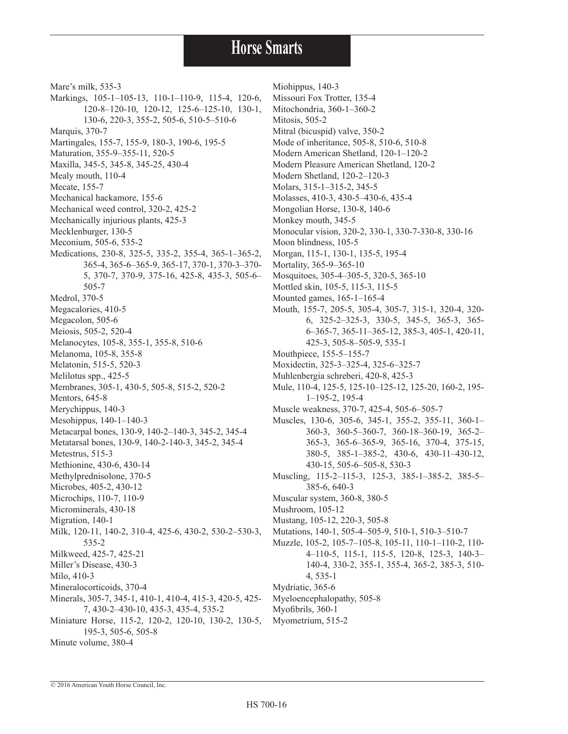Mare's milk, 535-3 Markings, 105-1–105-13, 110-1–110-9, 115-4, 120-6, 120-8–120-10, 120-12, 125-6–125-10, 130-1, 130-6, 220-3, 355-2, 505-6, 510-5–510-6 Marquis, 370-7 Martingales, 155-7, 155-9, 180-3, 190-6, 195-5 Maturation, 355-9–355-11, 520-5 Maxilla, 345-5, 345-8, 345-25, 430-4 Mealy mouth, 110-4 Mecate, 155-7 Mechanical hackamore, 155-6 Mechanical weed control, 320-2, 425-2 Mechanically injurious plants, 425-3 Mecklenburger, 130-5 Meconium, 505-6, 535-2 Medications, 230-8, 325-5, 335-2, 355-4, 365-1–365-2, 365-4, 365-6–365-9, 365-17, 370-1, 370-3–370- 5, 370-7, 370-9, 375-16, 425-8, 435-3, 505-6– 505-7 Medrol, 370-5 Megacalories, 410-5 Megacolon, 505-6 Meiosis, 505-2, 520-4 Melanocytes, 105-8, 355-1, 355-8, 510-6 Melanoma, 105-8, 355-8 Melatonin, 515-5, 520-3 Melilotus spp., 425-5 Membranes, 305-1, 430-5, 505-8, 515-2, 520-2 Mentors, 645-8 Merychippus, 140-3 Mesohippus, 140-1–140-3 Metacarpal bones, 130-9, 140-2–140-3, 345-2, 345-4 Metatarsal bones, 130-9, 140-2-140-3, 345-2, 345-4 Metestrus, 515-3 Methionine, 430-6, 430-14 Methylprednisolone, 370-5 Microbes, 405-2, 430-12 Microchips, 110-7, 110-9 Microminerals, 430-18 Migration, 140-1 Milk, 120-11, 140-2, 310-4, 425-6, 430-2, 530-2–530-3, 535-2 Milkweed, 425-7, 425-21 Miller's Disease, 430-3 Milo, 410-3 Mineralocorticoids, 370-4 Minerals, 305-7, 345-1, 410-1, 410-4, 415-3, 420-5, 425- 7, 430-2–430-10, 435-3, 435-4, 535-2 Miniature Horse, 115-2, 120-2, 120-10, 130-2, 130-5, 195-3, 505-6, 505-8 Minute volume, 380-4

Miohippus, 140-3

Missouri Fox Trotter, 135-4 Mitochondria, 360-1–360-2 Mitosis, 505-2 Mitral (bicuspid) valve, 350-2

- Mode of inheritance, 505-8, 510-6, 510-8
- Modern American Shetland, 120-1–120-2
- Modern Pleasure American Shetland, 120-2
- Modern Shetland, 120-2–120-3
- Molars, 315-1–315-2, 345-5
- Molasses, 410-3, 430-5–430-6, 435-4
- Mongolian Horse, 130-8, 140-6
- Monkey mouth, 345-5
- Monocular vision, 320-2, 330-1, 330-7-330-8, 330-16
- Moon blindness, 105-5
- Morgan, 115-1, 130-1, 135-5, 195-4
- Mortality, 365-9–365-10
- Mosquitoes, 305-4–305-5, 320-5, 365-10
- Mottled skin, 105-5, 115-3, 115-5
- Mounted games, 165-1–165-4
- Mouth, 155-7, 205-5, 305-4, 305-7, 315-1, 320-4, 320- 6, 325-2–325-3, 330-5, 345-5, 365-3, 365- 6–365-7, 365-11–365-12, 385-3, 405-1, 420-11, 425-3, 505-8–505-9, 535-1
- Mouthpiece, 155-5–155-7
- Moxidectin, 325-3–325-4, 325-6–325-7
- Muhlenbergia schreberi, 420-8, 425-3
- Mule, 110-4, 125-5, 125-10–125-12, 125-20, 160-2, 195- 1–195-2, 195-4
- Muscle weakness, 370-7, 425-4, 505-6–505-7
- Muscles, 130-6, 305-6, 345-1, 355-2, 355-11, 360-1– 360-3, 360-5–360-7, 360-18–360-19, 365-2– 365-3, 365-6–365-9, 365-16, 370-4, 375-15, 380-5, 385-1–385-2, 430-6, 430-11–430-12, 430-15, 505-6–505-8, 530-3
- Muscling, 115-2–115-3, 125-3, 385-1–385-2, 385-5– 385-6, 640-3
- Muscular system, 360-8, 380-5
- Mushroom, 105-12
- Mustang, 105-12, 220-3, 505-8
- Mutations, 140-1, 505-4–505-9, 510-1, 510-3–510-7 Muzzle, 105-2, 105-7–105-8, 105-11, 110-1–110-2, 110-
- 4–110-5, 115-1, 115-5, 120-8, 125-3, 140-3– 140-4, 330-2, 355-1, 355-4, 365-2, 385-3, 510- 4, 535-1
- Mydriatic, 365-6
- Myeloencephalopathy, 505-8
- Myofibrils, 360-1
- Myometrium, 515-2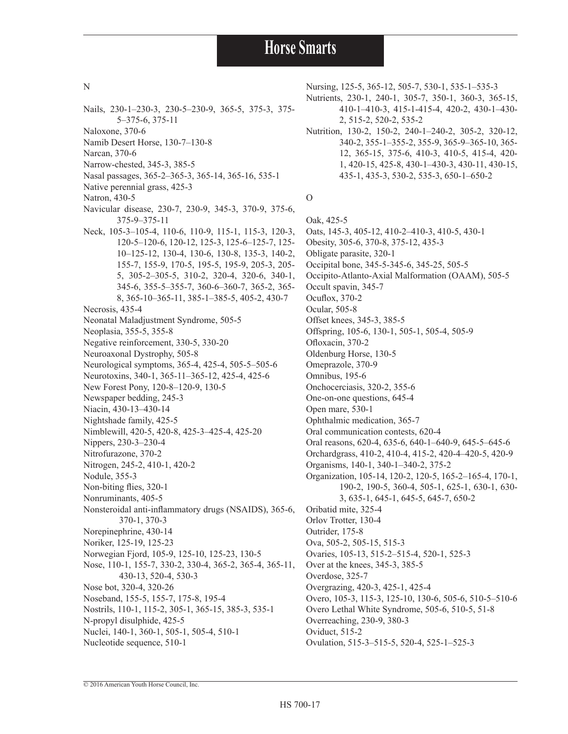#### N

- Nails, 230-1–230-3, 230-5–230-9, 365-5, 375-3, 375- 5–375-6, 375-11
- Naloxone, 370-6
- Namib Desert Horse, 130-7–130-8
- Narcan, 370-6
- Narrow-chested, 345-3, 385-5
- Nasal passages, 365-2–365-3, 365-14, 365-16, 535-1
- Native perennial grass, 425-3
- Natron, 430-5
- Navicular disease, 230-7, 230-9, 345-3, 370-9, 375-6, 375-9–375-11
- Neck, 105-3–105-4, 110-6, 110-9, 115-1, 115-3, 120-3, 120-5–120-6, 120-12, 125-3, 125-6–125-7, 125- 10–125-12, 130-4, 130-6, 130-8, 135-3, 140-2, 155-7, 155-9, 170-5, 195-5, 195-9, 205-3, 205- 5, 305-2–305-5, 310-2, 320-4, 320-6, 340-1, 345-6, 355-5–355-7, 360-6–360-7, 365-2, 365- 8, 365-10–365-11, 385-1–385-5, 405-2, 430-7 Necrosis, 435-4 Neonatal Maladjustment Syndrome, 505-5 Neoplasia, 355-5, 355-8
- Negative reinforcement, 330-5, 330-20
- Neuroaxonal Dystrophy, 505-8
- Neurological symptoms, 365-4, 425-4, 505-5–505-6
- Neurotoxins, 340-1, 365-11–365-12, 425-4, 425-6 New Forest Pony, 120-8–120-9, 130-5
- Newspaper bedding, 245-3
- Niacin, 430-13–430-14
- Nightshade family, 425-5
- Nimblewill, 420-5, 420-8, 425-3–425-4, 425-20
- Nippers, 230-3–230-4
- Nitrofurazone, 370-2
- Nitrogen, 245-2, 410-1, 420-2
- Nodule, 355-3
- Non-biting flies, 320-1
- Nonruminants, 405-5
- Nonsteroidal anti-inflammatory drugs (NSAIDS), 365-6,
- 370-1, 370-3
- Norepinephrine, 430-14 Noriker, 125-19, 125-23
- 
- Norwegian Fjord, 105-9, 125-10, 125-23, 130-5 Nose, 110-1, 155-7, 330-2, 330-4, 365-2, 365-4, 365-11,
- 430-13, 520-4, 530-3
- Nose bot, 320-4, 320-26
- Noseband, 155-5, 155-7, 175-8, 195-4
- Nostrils, 110-1, 115-2, 305-1, 365-15, 385-3, 535-1
- N-propyl disulphide, 425-5 Nuclei, 140-1, 360-1, 505-1, 505-4, 510-1
- Nucleotide sequence, 510-1
- Nursing, 125-5, 365-12, 505-7, 530-1, 535-1–535-3
- Nutrients, 230-1, 240-1, 305-7, 350-1, 360-3, 365-15, 410-1–410-3, 415-1-415-4, 420-2, 430-1–430- 2, 515-2, 520-2, 535-2
- Nutrition, 130-2, 150-2, 240-1–240-2, 305-2, 320-12, 340-2, 355-1–355-2, 355-9, 365-9–365-10, 365- 12, 365-15, 375-6, 410-3, 410-5, 415-4, 420- 1, 420-15, 425-8, 430-1–430-3, 430-11, 430-15, 435-1, 435-3, 530-2, 535-3, 650-1–650-2

#### O

Oak, 425-5 Oats, 145-3, 405-12, 410-2–410-3, 410-5, 430-1 Obesity, 305-6, 370-8, 375-12, 435-3 Obligate parasite, 320-1 Occipital bone, 345-5-345-6, 345-25, 505-5 Occipito-Atlanto-Axial Malformation (OAAM), 505-5 Occult spavin, 345-7 Ocuflox, 370-2 Ocular, 505-8 Offset knees, 345-3, 385-5 Offspring, 105-6, 130-1, 505-1, 505-4, 505-9 Ofloxacin, 370-2 Oldenburg Horse, 130-5 Omeprazole, 370-9 Omnibus, 195-6 Onchocerciasis, 320-2, 355-6 One-on-one questions, 645-4 Open mare, 530-1 Ophthalmic medication, 365-7 Oral communication contests, 620-4 Oral reasons, 620-4, 635-6, 640-1–640-9, 645-5–645-6 Orchardgrass, 410-2, 410-4, 415-2, 420-4–420-5, 420-9 Organisms, 140-1, 340-1–340-2, 375-2 Organization, 105-14, 120-2, 120-5, 165-2–165-4, 170-1, 190-2, 190-5, 360-4, 505-1, 625-1, 630-1, 630- 3, 635-1, 645-1, 645-5, 645-7, 650-2 Oribatid mite, 325-4 Orlov Trotter, 130-4 Outrider, 175-8 Ova, 505-2, 505-15, 515-3 Ovaries, 105-13, 515-2–515-4, 520-1, 525-3 Over at the knees, 345-3, 385-5 Overdose, 325-7 Overgrazing, 420-3, 425-1, 425-4 Overo, 105-3, 115-3, 125-10, 130-6, 505-6, 510-5–510-6 Overo Lethal White Syndrome, 505-6, 510-5, 51-8 Overreaching, 230-9, 380-3 Oviduct, 515-2 Ovulation, 515-3–515-5, 520-4, 525-1–525-3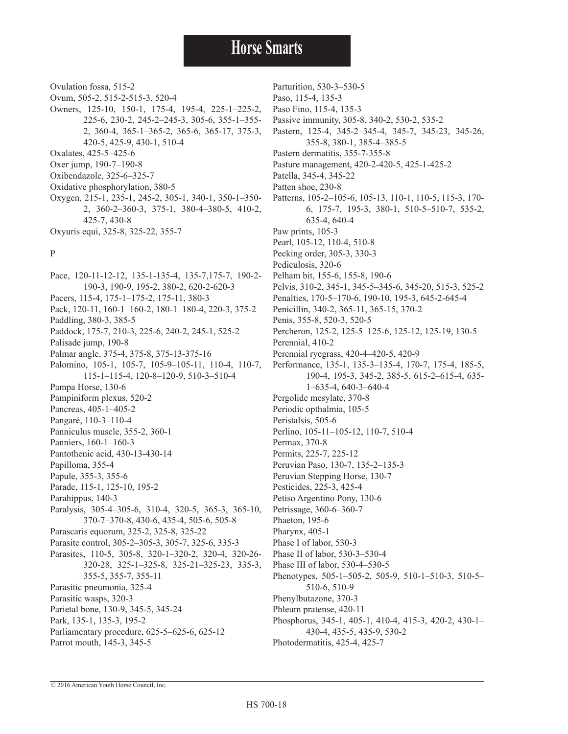Ovulation fossa, 515-2

- Ovum, 505-2, 515-2-515-3, 520-4
- Owners, 125-10, 150-1, 175-4, 195-4, 225-1–225-2, 225-6, 230-2, 245-2–245-3, 305-6, 355-1–355- 2, 360-4, 365-1–365-2, 365-6, 365-17, 375-3, 420-5, 425-9, 430-1, 510-4 Oxalates, 425-5–425-6 Oxer jump, 190-7–190-8
- Oxibendazole, 325-6–325-7
- Oxidative phosphorylation, 380-5
- Oxygen, 215-1, 235-1, 245-2, 305-1, 340-1, 350-1–350- 2, 360-2–360-3, 375-1, 380-4–380-5, 410-2, 425-7, 430-8

Oxyuris equi, 325-8, 325-22, 355-7

#### P

Pace, 120-11-12-12, 135-1-135-4, 135-7,175-7, 190-2- 190-3, 190-9, 195-2, 380-2, 620-2-620-3 Pacers, 115-4, 175-1–175-2, 175-11, 380-3 Pack, 120-11, 160-1–160-2, 180-1–180-4, 220-3, 375-2 Paddling, 380-3, 385-5 Paddock, 175-7, 210-3, 225-6, 240-2, 245-1, 525-2 Palisade jump, 190-8 Palmar angle, 375-4, 375-8, 375-13-375-16 Palomino, 105-1, 105-7, 105-9–105-11, 110-4, 110-7, 115-1–115-4, 120-8–120-9, 510-3–510-4 Pampa Horse, 130-6 Pampiniform plexus, 520-2 Pancreas, 405-1–405-2 Pangaré, 110-3–110-4 Panniculus muscle, 355-2, 360-1 Panniers, 160-1–160-3 Pantothenic acid, 430-13-430-14 Papilloma, 355-4 Papule, 355-3, 355-6 Parade, 115-1, 125-10, 195-2 Parahippus, 140-3 Paralysis, 305-4–305-6, 310-4, 320-5, 365-3, 365-10, 370-7–370-8, 430-6, 435-4, 505-6, 505-8 Parascaris equorum, 325-2, 325-8, 325-22 Parasite control, 305-2–305-3, 305-7, 325-6, 335-3 Parasites, 110-5, 305-8, 320-1–320-2, 320-4, 320-26- 320-28, 325-1–325-8, 325-21–325-23, 335-3, 355-5, 355-7, 355-11 Parasitic pneumonia, 325-4 Parasitic wasps, 320-3 Parietal bone, 130-9, 345-5, 345-24 Park, 135-1, 135-3, 195-2 Parliamentary procedure, 625-5–625-6, 625-12 Parrot mouth, 145-3, 345-5

Parturition, 530-3–530-5 Paso, 115-4, 135-3 Paso Fino, 115-4, 135-3 Passive immunity, 305-8, 340-2, 530-2, 535-2 Pastern, 125-4, 345-2–345-4, 345-7, 345-23, 345-26, 355-8, 380-1, 385-4–385-5 Pastern dermatitis, 355-7-355-8 Pasture management, 420-2-420-5, 425-1-425-2 Patella, 345-4, 345-22 Patten shoe, 230-8 Patterns, 105-2–105-6, 105-13, 110-1, 110-5, 115-3, 170- 6, 175-7, 195-3, 380-1, 510-5–510-7, 535-2, 635-4, 640-4 Paw prints, 105-3 Pearl, 105-12, 110-4, 510-8 Pecking order, 305-3, 330-3 Pediculosis, 320-6 Pelham bit, 155-6, 155-8, 190-6 Pelvis, 310-2, 345-1, 345-5–345-6, 345-20, 515-3, 525-2 Penalties, 170-5–170-6, 190-10, 195-3, 645-2-645-4 Penicillin, 340-2, 365-11, 365-15, 370-2 Penis, 355-8, 520-3, 520-5 Percheron, 125-2, 125-5–125-6, 125-12, 125-19, 130-5 Perennial, 410-2 Perennial ryegrass, 420-4–420-5, 420-9 Performance, 135-1, 135-3–135-4, 170-7, 175-4, 185-5, 190-4, 195-3, 345-2, 385-5, 615-2–615-4, 635- 1–635-4, 640-3–640-4 Pergolide mesylate, 370-8 Periodic opthalmia, 105-5 Peristalsis, 505-6 Perlino, 105-11–105-12, 110-7, 510-4 Permax, 370-8 Permits, 225-7, 225-12 Peruvian Paso, 130-7, 135-2–135-3 Peruvian Stepping Horse, 130-7 Pesticides, 225-3, 425-4 Petiso Argentino Pony, 130-6 Petrissage, 360-6–360-7 Phaeton, 195-6 Pharynx, 405-1 Phase I of labor, 530-3 Phase II of labor, 530-3–530-4 Phase III of labor, 530-4–530-5 Phenotypes, 505-1–505-2, 505-9, 510-1–510-3, 510-5– 510-6, 510-9 Phenylbutazone, 370-3 Phleum pratense, 420-11 Phosphorus, 345-1, 405-1, 410-4, 415-3, 420-2, 430-1– 430-4, 435-5, 435-9, 530-2

Photodermatitis, 425-4, 425-7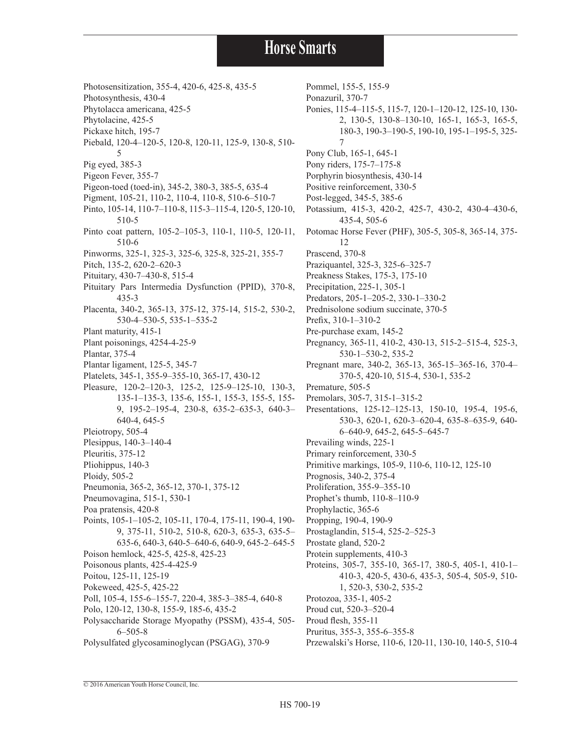- Photosensitization, 355-4, 420-6, 425-8, 435-5
- Photosynthesis, 430-4
- Phytolacca americana, 425-5
- Phytolacine, 425-5
- Pickaxe hitch, 195-7
- Piebald, 120-4–120-5, 120-8, 120-11, 125-9, 130-8, 510- 5
- Pig eyed, 385-3
- Pigeon Fever, 355-7
- Pigeon-toed (toed-in), 345-2, 380-3, 385-5, 635-4
- Pigment, 105-21, 110-2, 110-4, 110-8, 510-6–510-7
- Pinto, 105-14, 110-7–110-8, 115-3–115-4, 120-5, 120-10, 510-5
- Pinto coat pattern, 105-2–105-3, 110-1, 110-5, 120-11, 510-6
- Pinworms, 325-1, 325-3, 325-6, 325-8, 325-21, 355-7
- Pitch, 135-2, 620-2–620-3
- Pituitary, 430-7–430-8, 515-4
- Pituitary Pars Intermedia Dysfunction (PPID), 370-8, 435-3
- Placenta, 340-2, 365-13, 375-12, 375-14, 515-2, 530-2, 530-4–530-5, 535-1–535-2
- Plant maturity, 415-1
- Plant poisonings, 4254-4-25-9
- Plantar, 375-4
- Plantar ligament, 125-5, 345-7
- Platelets, 345-1, 355-9–355-10, 365-17, 430-12
- Pleasure, 120-2–120-3, 125-2, 125-9–125-10, 130-3, 135-1–135-3, 135-6, 155-1, 155-3, 155-5, 155- 9, 195-2–195-4, 230-8, 635-2–635-3, 640-3– 640-4, 645-5
- Pleiotropy, 505-4
- Plesippus, 140-3–140-4
- Pleuritis, 375-12
- Pliohippus, 140-3
- Ploidy, 505-2
- Pneumonia, 365-2, 365-12, 370-1, 375-12
- Pneumovagina, 515-1, 530-1
- Poa pratensis, 420-8
- Points, 105-1–105-2, 105-11, 170-4, 175-11, 190-4, 190- 9, 375-11, 510-2, 510-8, 620-3, 635-3, 635-5– 635-6, 640-3, 640-5–640-6, 640-9, 645-2–645-5 Poison hemlock, 425-5, 425-8, 425-23 Poisonous plants, 425-4-425-9
- Poitou, 125-11, 125-19
- Pokeweed, 425-5, 425-22
- Poll, 105-4, 155-6–155-7, 220-4, 385-3–385-4, 640-8
- Polo, 120-12, 130-8, 155-9, 185-6, 435-2
- Polysaccharide Storage Myopathy (PSSM), 435-4, 505- 6–505-8
- Polysulfated glycosaminoglycan (PSGAG), 370-9

Pommel, 155-5, 155-9 Ponazuril, 370-7 Ponies, 115-4–115-5, 115-7, 120-1–120-12, 125-10, 130- 2, 130-5, 130-8–130-10, 165-1, 165-3, 165-5, 180-3, 190-3–190-5, 190-10, 195-1–195-5, 325- 7 Pony Club, 165-1, 645-1 Pony riders, 175-7–175-8 Porphyrin biosynthesis, 430-14 Positive reinforcement, 330-5 Post-legged, 345-5, 385-6 Potassium, 415-3, 420-2, 425-7, 430-2, 430-4–430-6, 435-4, 505-6 Potomac Horse Fever (PHF), 305-5, 305-8, 365-14, 375- 12 Prascend, 370-8 Praziquantel, 325-3, 325-6–325-7 Preakness Stakes, 175-3, 175-10 Precipitation, 225-1, 305-1 Predators, 205-1–205-2, 330-1–330-2 Prednisolone sodium succinate, 370-5 Prefix, 310-1–310-2 Pre-purchase exam, 145-2 Pregnancy, 365-11, 410-2, 430-13, 515-2–515-4, 525-3, 530-1–530-2, 535-2 Pregnant mare, 340-2, 365-13, 365-15–365-16, 370-4– 370-5, 420-10, 515-4, 530-1, 535-2 Premature, 505-5 Premolars, 305-7, 315-1–315-2 Presentations, 125-12–125-13, 150-10, 195-4, 195-6, 530-3, 620-1, 620-3–620-4, 635-8–635-9, 640- 6–640-9, 645-2, 645-5–645-7 Prevailing winds, 225-1 Primary reinforcement, 330-5 Primitive markings, 105-9, 110-6, 110-12, 125-10 Prognosis, 340-2, 375-4 Proliferation, 355-9–355-10 Prophet's thumb, 110-8–110-9 Prophylactic, 365-6 Propping, 190-4, 190-9 Prostaglandin, 515-4, 525-2–525-3 Prostate gland, 520-2 Protein supplements, 410-3 Proteins, 305-7, 355-10, 365-17, 380-5, 405-1, 410-1– 410-3, 420-5, 430-6, 435-3, 505-4, 505-9, 510- 1, 520-3, 530-2, 535-2 Protozoa, 335-1, 405-2 Proud cut, 520-3–520-4

- Proud flesh, 355-11
- Pruritus, 355-3, 355-6–355-8
- Przewalski's Horse, 110-6, 120-11, 130-10, 140-5, 510-4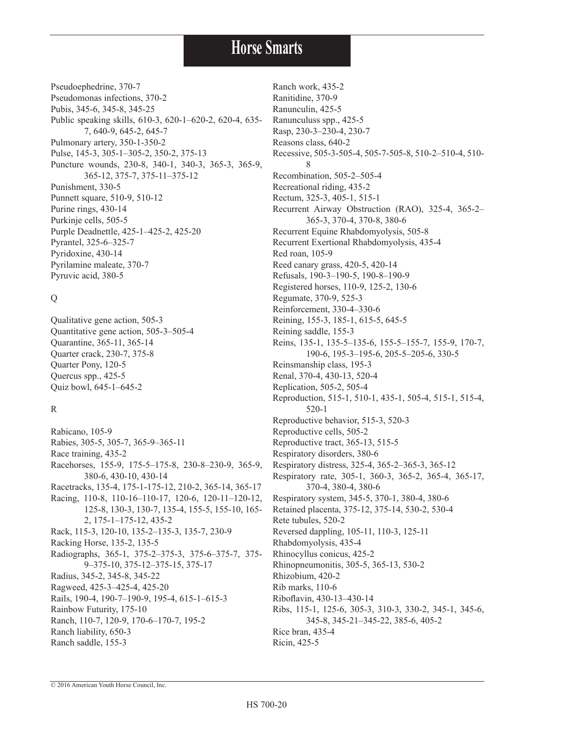Pseudoephedrine, 370-7 Pseudomonas infections, 370-2 Pubis, 345-6, 345-8, 345-25 Public speaking skills, 610-3, 620-1–620-2, 620-4, 635- 7, 640-9, 645-2, 645-7 Pulmonary artery, 350-1-350-2 Pulse, 145-3, 305-1–305-2, 350-2, 375-13 Puncture wounds, 230-8, 340-1, 340-3, 365-3, 365-9, 365-12, 375-7, 375-11–375-12 Punishment, 330-5 Punnett square, 510-9, 510-12 Purine rings, 430-14 Purkinje cells, 505-5 Purple Deadnettle, 425-1–425-2, 425-20 Pyrantel, 325-6–325-7 Pyridoxine, 430-14 Pyrilamine maleate, 370-7 Pyruvic acid, 380-5

#### Q

Qualitative gene action, 505-3 Quantitative gene action, 505-3–505-4 Quarantine, 365-11, 365-14 Quarter crack, 230-7, 375-8 Quarter Pony, 120-5 Quercus spp., 425-5 Quiz bowl, 645-1–645-2

#### R

Rabicano, 105-9 Rabies, 305-5, 305-7, 365-9–365-11 Race training, 435-2 Racehorses, 155-9, 175-5–175-8, 230-8–230-9, 365-9, 380-6, 430-10, 430-14 Racetracks, 135-4, 175-1-175-12, 210-2, 365-14, 365-17 Racing, 110-8, 110-16–110-17, 120-6, 120-11–120-12, 125-8, 130-3, 130-7, 135-4, 155-5, 155-10, 165- 2, 175-1–175-12, 435-2 Rack, 115-3, 120-10, 135-2–135-3, 135-7, 230-9 Racking Horse, 135-2, 135-5 Radiographs, 365-1, 375-2–375-3, 375-6–375-7, 375- 9–375-10, 375-12–375-15, 375-17 Radius, 345-2, 345-8, 345-22 Ragweed, 425-3–425-4, 425-20 Rails, 190-4, 190-7–190-9, 195-4, 615-1–615-3 Rainbow Futurity, 175-10 Ranch, 110-7, 120-9, 170-6–170-7, 195-2 Ranch liability, 650-3 Ranch saddle, 155-3

Ranch work, 435-2 Ranitidine, 370-9 Ranunculin, 425-5 Ranunculuss spp., 425-5 Rasp, 230-3–230-4, 230-7 Reasons class, 640-2 Recessive, 505-3-505-4, 505-7-505-8, 510-2–510-4, 510- 8 Recombination, 505-2–505-4 Recreational riding, 435-2 Rectum, 325-3, 405-1, 515-1 Recurrent Airway Obstruction (RAO), 325-4, 365-2– 365-3, 370-4, 370-8, 380-6 Recurrent Equine Rhabdomyolysis, 505-8 Recurrent Exertional Rhabdomyolysis, 435-4 Red roan, 105-9 Reed canary grass, 420-5, 420-14 Refusals, 190-3–190-5, 190-8–190-9 Registered horses, 110-9, 125-2, 130-6 Regumate, 370-9, 525-3 Reinforcement, 330-4–330-6 Reining, 155-3, 185-1, 615-5, 645-5 Reining saddle, 155-3 Reins, 135-1, 135-5–135-6, 155-5–155-7, 155-9, 170-7, 190-6, 195-3–195-6, 205-5–205-6, 330-5 Reinsmanship class, 195-3 Renal, 370-4, 430-13, 520-4 Replication, 505-2, 505-4 Reproduction, 515-1, 510-1, 435-1, 505-4, 515-1, 515-4, 520-1 Reproductive behavior, 515-3, 520-3 Reproductive cells, 505-2 Reproductive tract, 365-13, 515-5 Respiratory disorders, 380-6 Respiratory distress, 325-4, 365-2–365-3, 365-12 Respiratory rate, 305-1, 360-3, 365-2, 365-4, 365-17, 370-4, 380-4, 380-6 Respiratory system, 345-5, 370-1, 380-4, 380-6 Retained placenta, 375-12, 375-14, 530-2, 530-4 Rete tubules, 520-2 Reversed dappling, 105-11, 110-3, 125-11 Rhabdomyolysis, 435-4 Rhinocyllus conicus, 425-2 Rhinopneumonitis, 305-5, 365-13, 530-2 Rhizobium, 420-2 Rib marks, 110-6 Riboflavin, 430-13–430-14 Ribs, 115-1, 125-6, 305-3, 310-3, 330-2, 345-1, 345-6, 345-8, 345-21–345-22, 385-6, 405-2 Rice bran, 435-4 Ricin, 425-5

© 2016 American Youth Horse Council, Inc.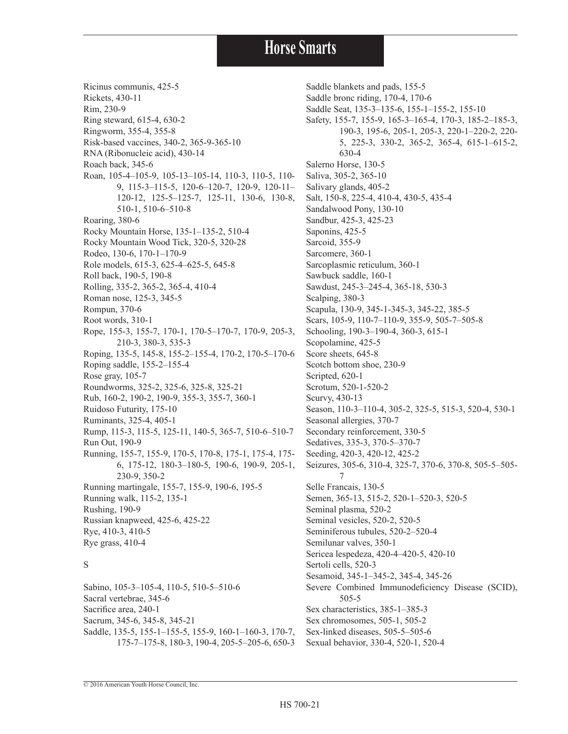Ricinus communis, 425-5 Rickets, 430-11 Rim, 230-9 Ring steward, 615-4, 630-2 Ringworm, 355-4, 355-8 Risk-based vaccines, 340-2, 365-9-365-10 RNA (Ribonucleic acid), 430-14 Roach back, 345-6 Roan, 105-4–105-9, 105-13–105-14, 110-3, 110-5, 110- 9, 115-3–115-5, 120-6–120-7, 120-9, 120-11– 120-12, 125-5–125-7, 125-11, 130-6, 130-8, 510-1, 510-6–510-8 Roaring, 380-6 Rocky Mountain Horse, 135-1–135-2, 510-4 Rocky Mountain Wood Tick, 320-5, 320-28 Rodeo, 130-6, 170-1–170-9 Role models, 615-3, 625-4–625-5, 645-8 Roll back, 190-5, 190-8 Rolling, 335-2, 365-2, 365-4, 410-4 Roman nose, 125-3, 345-5 Rompun, 370-6 Root words, 310-1 Rope, 155-3, 155-7, 170-1, 170-5–170-7, 170-9, 205-3, 210-3, 380-3, 535-3 Roping, 135-5, 145-8, 155-2–155-4, 170-2, 170-5–170-6 Roping saddle, 155-2–155-4 Rose gray, 105-7 Roundworms, 325-2, 325-6, 325-8, 325-21 Rub, 160-2, 190-2, 190-9, 355-3, 355-7, 360-1 Ruidoso Futurity, 175-10 Ruminants, 325-4, 405-1 Rump, 115-3, 115-5, 125-11, 140-5, 365-7, 510-6–510-7 Run Out, 190-9 Running, 155-7, 155-9, 170-5, 170-8, 175-1, 175-4, 175- 6, 175-12, 180-3–180-5, 190-6, 190-9, 205-1, 230-9, 350-2 Running martingale, 155-7, 155-9, 190-6, 195-5 Running walk, 115-2, 135-1 Rushing, 190-9 Russian knapweed, 425-6, 425-22 Rye, 410-3, 410-5 Rye grass, 410-4

#### S

Sabino, 105-3–105-4, 110-5, 510-5–510-6 Sacral vertebrae, 345-6 Sacrifice area, 240-1 Sacrum, 345-6, 345-8, 345-21 Saddle, 135-5, 155-1–155-5, 155-9, 160-1–160-3, 170-7, 175-7–175-8, 180-3, 190-4, 205-5–205-6, 650-3 Saddle blankets and pads, 155-5 Saddle bronc riding, 170-4, 170-6 Saddle Seat, 135-3–135-6, 155-1–155-2, 155-10 Safety, 155-7, 155-9, 165-3–165-4, 170-3, 185-2–185-3, 190-3, 195-6, 205-1, 205-3, 220-1–220-2, 220- 5, 225-3, 330-2, 365-2, 365-4, 615-1–615-2, 630-4 Salerno Horse, 130-5 Saliva, 305-2, 365-10 Salivary glands, 405-2 Salt, 150-8, 225-4, 410-4, 430-5, 435-4 Sandalwood Pony, 130-10 Sandbur, 425-3, 425-23 Saponins, 425-5 Sarcoid, 355-9 Sarcomere, 360-1 Sarcoplasmic reticulum, 360-1 Sawbuck saddle, 160-1 Sawdust, 245-3–245-4, 365-18, 530-3 Scalping, 380-3 Scapula, 130-9, 345-1-345-3, 345-22, 385-5 Scars, 105-9, 110-7–110-9, 355-9, 505-7–505-8 Schooling, 190-3–190-4, 360-3, 615-1 Scopolamine, 425-5 Score sheets, 645-8 Scotch bottom shoe, 230-9 Scripted, 620-1 Scrotum, 520-1-520-2 Scurvy, 430-13 Season, 110-3–110-4, 305-2, 325-5, 515-3, 520-4, 530-1 Seasonal allergies, 370-7 Secondary reinforcement, 330-5 Sedatives, 335-3, 370-5–370-7 Seeding, 420-3, 420-12, 425-2 Seizures, 305-6, 310-4, 325-7, 370-6, 370-8, 505-5–505- 7 Selle Francais, 130-5 Semen, 365-13, 515-2, 520-1–520-3, 520-5 Seminal plasma, 520-2 Seminal vesicles, 520-2, 520-5 Seminiferous tubules, 520-2–520-4 Semilunar valves, 350-1 Sericea lespedeza, 420-4–420-5, 420-10 Sertoli cells, 520-3 Sesamoid, 345-1–345-2, 345-4, 345-26 Severe Combined Immunodeficiency Disease (SCID), 505-5 Sex characteristics, 385-1–385-3 Sex chromosomes, 505-1, 505-2 Sex-linked diseases, 505-5–505-6 Sexual behavior, 330-4, 520-1, 520-4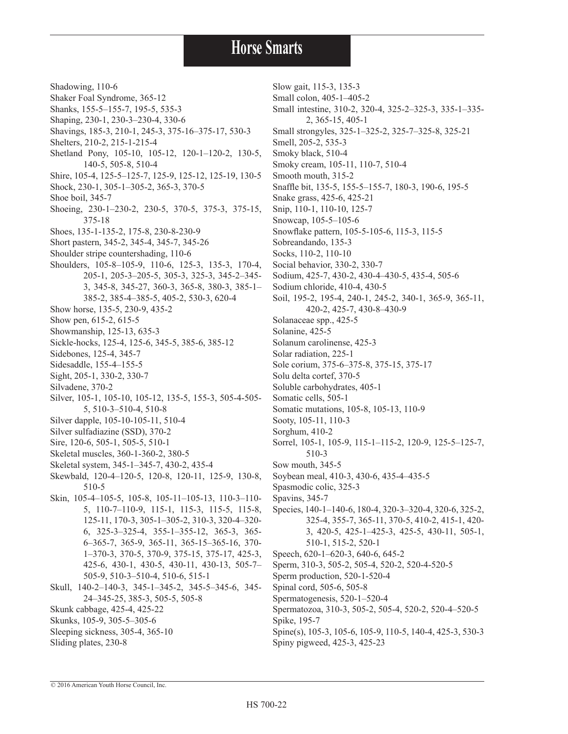2, 365-15, 405-1

420-2, 425-7, 430-8–430-9

510-3

Shadowing, 110-6 Shaker Foal Syndrome, 365-12 Shanks, 155-5–155-7, 195-5, 535-3 Shaping, 230-1, 230-3–230-4, 330-6 Shavings, 185-3, 210-1, 245-3, 375-16–375-17, 530-3 Shelters, 210-2, 215-1-215-4 Shetland Pony, 105-10, 105-12, 120-1–120-2, 130-5, 140-5, 505-8, 510-4 Shire, 105-4, 125-5–125-7, 125-9, 125-12, 125-19, 130-5 Shock, 230-1, 305-1–305-2, 365-3, 370-5 Shoe boil, 345-7 Shoeing, 230-1–230-2, 230-5, 370-5, 375-3, 375-15, 375-18 Shoes, 135-1-135-2, 175-8, 230-8-230-9 Short pastern, 345-2, 345-4, 345-7, 345-26 Shoulder stripe countershading, 110-6 Shoulders, 105-8–105-9, 110-6, 125-3, 135-3, 170-4, 205-1, 205-3–205-5, 305-3, 325-3, 345-2–345- 3, 345-8, 345-27, 360-3, 365-8, 380-3, 385-1– 385-2, 385-4–385-5, 405-2, 530-3, 620-4 Show horse, 135-5, 230-9, 435-2 Show pen, 615-2, 615-5 Showmanship, 125-13, 635-3 Sickle-hocks, 125-4, 125-6, 345-5, 385-6, 385-12 Sidebones, 125-4, 345-7 Sidesaddle, 155-4–155-5 Sight, 205-1, 330-2, 330-7 Silvadene, 370-2 Silver, 105-1, 105-10, 105-12, 135-5, 155-3, 505-4-505- 5, 510-3–510-4, 510-8 Silver dapple, 105-10-105-11, 510-4 Silver sulfadiazine (SSD), 370-2 Sire, 120-6, 505-1, 505-5, 510-1 Skeletal muscles, 360-1-360-2, 380-5 Skeletal system, 345-1–345-7, 430-2, 435-4 Skewbald, 120-4–120-5, 120-8, 120-11, 125-9, 130-8, 510-5 Skin, 105-4–105-5, 105-8, 105-11–105-13, 110-3–110- 5, 110-7–110-9, 115-1, 115-3, 115-5, 115-8, 125-11, 170-3, 305-1–305-2, 310-3, 320-4–320- 6, 325-3–325-4, 355-1–355-12, 365-3, 365- 6–365-7, 365-9, 365-11, 365-15–365-16, 370- 1–370-3, 370-5, 370-9, 375-15, 375-17, 425-3, 425-6, 430-1, 430-5, 430-11, 430-13, 505-7– 505-9, 510-3–510-4, 510-6, 515-1 Skull, 140-2–140-3, 345-1–345-2, 345-5–345-6, 345- 24–345-25, 385-3, 505-5, 505-8 Skunk cabbage, 425-4, 425-22 Skunks, 105-9, 305-5–305-6 Sleeping sickness, 305-4, 365-10 Slow gait, 115-3, 135-3 Small colon, 405-1–405-2 Small intestine, 310-2, 320-4, 325-2–325-3, 335-1–335- Small strongyles, 325-1–325-2, 325-7–325-8, 325-21 Smell, 205-2, 535-3 Smoky black, 510-4 Smoky cream, 105-11, 110-7, 510-4 Smooth mouth, 315-2 Snaffle bit, 135-5, 155-5–155-7, 180-3, 190-6, 195-5 Snake grass, 425-6, 425-21 Snip, 110-1, 110-10, 125-7 Snowcap, 105-5–105-6 Snowflake pattern, 105-5-105-6, 115-3, 115-5 Sobreandando, 135-3 Socks, 110-2, 110-10 Social behavior, 330-2, 330-7 Sodium, 425-7, 430-2, 430-4–430-5, 435-4, 505-6 Sodium chloride, 410-4, 430-5 Soil, 195-2, 195-4, 240-1, 245-2, 340-1, 365-9, 365-11, Solanaceae spp., 425-5 Solanine, 425-5 Solanum carolinense, 425-3 Solar radiation, 225-1 Sole corium, 375-6–375-8, 375-15, 375-17 Solu delta cortef, 370-5 Soluble carbohydrates, 405-1 Somatic cells, 505-1 Somatic mutations, 105-8, 105-13, 110-9 Sooty, 105-11, 110-3 Sorghum, 410-2 Sorrel, 105-1, 105-9, 115-1–115-2, 120-9, 125-5–125-7, Sow mouth, 345-5 Soybean meal, 410-3, 430-6, 435-4–435-5 Spasmodic colic, 325-3 Spavins, 345-7

Species, 140-1–140-6, 180-4, 320-3–320-4, 320-6, 325-2, 325-4, 355-7, 365-11, 370-5, 410-2, 415-1, 420- 3, 420-5, 425-1–425-3, 425-5, 430-11, 505-1, 510-1, 515-2, 520-1 Speech, 620-1–620-3, 640-6, 645-2 Sperm, 310-3, 505-2, 505-4, 520-2, 520-4-520-5 Sperm production, 520-1-520-4 Spinal cord, 505-6, 505-8 Spermatogenesis, 520-1–520-4 Spermatozoa, 310-3, 505-2, 505-4, 520-2, 520-4–520-5 Spike, 195-7 Spine(s), 105-3, 105-6, 105-9, 110-5, 140-4, 425-3, 530-3 Spiny pigweed, 425-3, 425-23

© 2016 American Youth Horse Council, Inc.

Sliding plates, 230-8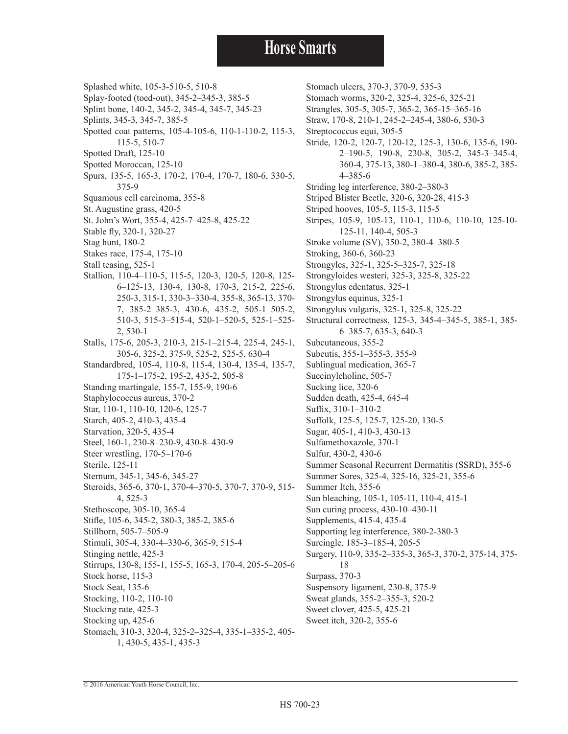Splashed white, 105-3-510-5, 510-8

- Splay-footed (toed-out), 345-2–345-3, 385-5
- Splint bone, 140-2, 345-2, 345-4, 345-7, 345-23
- Splints, 345-3, 345-7, 385-5
- Spotted coat patterns, 105-4-105-6, 110-1-110-2, 115-3, 115-5, 510-7
- Spotted Draft, 125-10
- Spotted Moroccan, 125-10
- Spurs, 135-5, 165-3, 170-2, 170-4, 170-7, 180-6, 330-5, 375-9
- Squamous cell carcinoma, 355-8
- St. Augustine grass, 420-5
- St. John's Wort, 355-4, 425-7–425-8, 425-22
- Stable fly, 320-1, 320-27
- Stag hunt, 180-2
- Stakes race, 175-4, 175-10
- Stall teasing, 525-1
- Stallion, 110-4–110-5, 115-5, 120-3, 120-5, 120-8, 125- 6–125-13, 130-4, 130-8, 170-3, 215-2, 225-6, 250-3, 315-1, 330-3–330-4, 355-8, 365-13, 370- 7, 385-2–385-3, 430-6, 435-2, 505-1–505-2, 510-3, 515-3–515-4, 520-1–520-5, 525-1–525- 2, 530-1
- Stalls, 175-6, 205-3, 210-3, 215-1–215-4, 225-4, 245-1, 305-6, 325-2, 375-9, 525-2, 525-5, 630-4
- Standardbred, 105-4, 110-8, 115-4, 130-4, 135-4, 135-7, 175-1–175-2, 195-2, 435-2, 505-8
- Standing martingale, 155-7, 155-9, 190-6
- Staphylococcus aureus, 370-2
- Star, 110-1, 110-10, 120-6, 125-7
- Starch, 405-2, 410-3, 435-4
- Starvation, 320-5, 435-4
- Steel, 160-1, 230-8–230-9, 430-8–430-9
- Steer wrestling, 170-5–170-6
- Sterile, 125-11
- Sternum, 345-1, 345-6, 345-27
- Steroids, 365-6, 370-1, 370-4–370-5, 370-7, 370-9, 515- 4, 525-3
- Stethoscope, 305-10, 365-4
- Stifle, 105-6, 345-2, 380-3, 385-2, 385-6
- Stillborn, 505-7–505-9
- Stimuli, 305-4, 330-4–330-6, 365-9, 515-4
- Stinging nettle, 425-3
- Stirrups, 130-8, 155-1, 155-5, 165-3, 170-4, 205-5–205-6
- Stock horse, 115-3
- Stock Seat, 135-6
- Stocking, 110-2, 110-10
- Stocking rate, 425-3
- Stocking up, 425-6
- Stomach, 310-3, 320-4, 325-2–325-4, 335-1–335-2, 405- 1, 430-5, 435-1, 435-3

Stomach ulcers, 370-3, 370-9, 535-3 Stomach worms, 320-2, 325-4, 325-6, 325-21 Strangles, 305-5, 305-7, 365-2, 365-15–365-16 Straw, 170-8, 210-1, 245-2–245-4, 380-6, 530-3 Streptococcus equi, 305-5 Stride, 120-2, 120-7, 120-12, 125-3, 130-6, 135-6, 190- 2–190-5, 190-8, 230-8, 305-2, 345-3–345-4, 360-4, 375-13, 380-1–380-4, 380-6, 385-2, 385- 4–385-6 Striding leg interference, 380-2–380-3 Striped Blister Beetle, 320-6, 320-28, 415-3 Striped hooves, 105-5, 115-3, 115-5 Stripes, 105-9, 105-13, 110-1, 110-6, 110-10, 125-10- 125-11, 140-4, 505-3 Stroke volume (SV), 350-2, 380-4–380-5 Stroking, 360-6, 360-23 Strongyles, 325-1, 325-5–325-7, 325-18 Strongyloides westeri, 325-3, 325-8, 325-22 Strongylus edentatus, 325-1 Strongylus equinus, 325-1 Strongylus vulgaris, 325-1, 325-8, 325-22 Structural correctness, 125-3, 345-4–345-5, 385-1, 385- 6–385-7, 635-3, 640-3 Subcutaneous, 355-2 Subcutis, 355-1–355-3, 355-9 Sublingual medication, 365-7 Succinylcholine, 505-7 Sucking lice, 320-6 Sudden death, 425-4, 645-4 Suffix, 310-1–310-2 Suffolk, 125-5, 125-7, 125-20, 130-5 Sugar, 405-1, 410-3, 430-13 Sulfamethoxazole, 370-1 Sulfur, 430-2, 430-6 Summer Seasonal Recurrent Dermatitis (SSRD), 355-6 Summer Sores, 325-4, 325-16, 325-21, 355-6 Summer Itch, 355-6 Sun bleaching, 105-1, 105-11, 110-4, 415-1 Sun curing process, 430-10–430-11 Supplements, 415-4, 435-4 Supporting leg interference, 380-2-380-3 Surcingle, 185-3–185-4, 205-5 Surgery, 110-9, 335-2–335-3, 365-3, 370-2, 375-14, 375- 18 Surpass, 370-3 Suspensory ligament, 230-8, 375-9 Sweat glands, 355-2–355-3, 520-2

© 2016 American Youth Horse Council, Inc.

Sweet clover, 425-5, 425-21 Sweet itch, 320-2, 355-6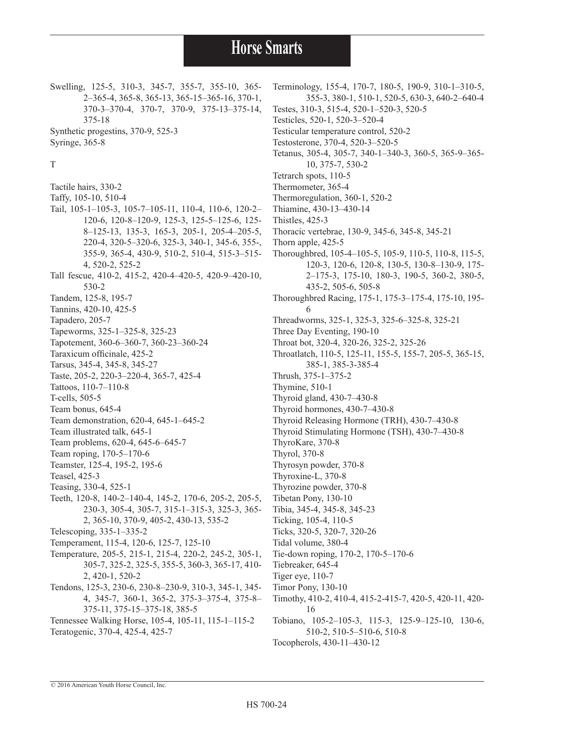Swelling, 125-5, 310-3, 345-7, 355-7, 355-10, 365- 2–365-4, 365-8, 365-13, 365-15–365-16, 370-1, 370-3–370-4, 370-7, 370-9, 375-13–375-14, 375-18 Synthetic progestins, 370-9, 525-3

Syringe, 365-8

T Tactile hairs, 330-2 Taffy, 105-10, 510-4 Tail, 105-1–105-3, 105-7–105-11, 110-4, 110-6, 120-2– 120-6, 120-8–120-9, 125-3, 125-5–125-6, 125- 8–125-13, 135-3, 165-3, 205-1, 205-4–205-5, 220-4, 320-5–320-6, 325-3, 340-1, 345-6, 355-, 355-9, 365-4, 430-9, 510-2, 510-4, 515-3–515- 4, 520-2, 525-2 Tall fescue, 410-2, 415-2, 420-4–420-5, 420-9–420-10, 530-2 Tandem, 125-8, 195-7 Tannins, 420-10, 425-5 Tapadero, 205-7 Tapeworms, 325-1–325-8, 325-23 Tapotement, 360-6–360-7, 360-23–360-24 Taraxicum officinale, 425-2 Tarsus, 345-4, 345-8, 345-27 Taste, 205-2, 220-3–220-4, 365-7, 425-4 Tattoos, 110-7–110-8 T-cells, 505-5 Team bonus, 645-4 Team demonstration, 620-4, 645-1–645-2 Team illustrated talk, 645-1 Team problems, 620-4, 645-6–645-7 Team roping, 170-5–170-6 Teamster, 125-4, 195-2, 195-6 Teasel, 425-3 Teasing, 330-4, 525-1 Teeth, 120-8, 140-2–140-4, 145-2, 170-6, 205-2, 205-5, 230-3, 305-4, 305-7, 315-1–315-3, 325-3, 365- 2, 365-10, 370-9, 405-2, 430-13, 535-2 Telescoping, 335-1–335-2 Temperament, 115-4, 120-6, 125-7, 125-10 Temperature, 205-5, 215-1, 215-4, 220-2, 245-2, 305-1, 305-7, 325-2, 325-5, 355-5, 360-3, 365-17, 410- 2, 420-1, 520-2 Tendons, 125-3, 230-6, 230-8–230-9, 310-3, 345-1, 345- 4, 345-7, 360-1, 365-2, 375-3–375-4, 375-8– 375-11, 375-15–375-18, 385-5 Tennessee Walking Horse, 105-4, 105-11, 115-1–115-2

Terminology, 155-4, 170-7, 180-5, 190-9, 310-1–310-5, 355-3, 380-1, 510-1, 520-5, 630-3, 640-2–640-4 Testes, 310-3, 515-4, 520-1–520-3, 520-5 Testicles, 520-1, 520-3–520-4 Testicular temperature control, 520-2 Testosterone, 370-4, 520-3–520-5 Tetanus, 305-4, 305-7, 340-1–340-3, 360-5, 365-9–365- 10, 375-7, 530-2 Tetrarch spots, 110-5 Thermometer, 365-4 Thermoregulation, 360-1, 520-2 Thiamine, 430-13–430-14 Thistles, 425-3 Thoracic vertebrae, 130-9, 345-6, 345-8, 345-21 Thorn apple, 425-5 Thoroughbred, 105-4–105-5, 105-9, 110-5, 110-8, 115-5, 120-3, 120-6, 120-8, 130-5, 130-8–130-9, 175- 2–175-3, 175-10, 180-3, 190-5, 360-2, 380-5, 435-2, 505-6, 505-8 Thoroughbred Racing, 175-1, 175-3–175-4, 175-10, 195- 6 Threadworms, 325-1, 325-3, 325-6–325-8, 325-21 Three Day Eventing, 190-10 Throat bot, 320-4, 320-26, 325-2, 325-26 Throatlatch, 110-5, 125-11, 155-5, 155-7, 205-5, 365-15, 385-1, 385-3-385-4 Thrush, 375-1–375-2 Thymine, 510-1 Thyroid gland, 430-7–430-8 Thyroid hormones, 430-7–430-8 Thyroid Releasing Hormone (TRH), 430-7–430-8 Thyroid Stimulating Hormone (TSH), 430-7–430-8 ThyroKare, 370-8 Thyrol, 370-8 Thyrosyn powder, 370-8 Thyroxine-L, 370-8 Thyrozine powder, 370-8 Tibetan Pony, 130-10 Tibia, 345-4, 345-8, 345-23 Ticking, 105-4, 110-5 Ticks, 320-5, 320-7, 320-26 Tidal volume, 380-4 Tie-down roping, 170-2, 170-5–170-6 Tiebreaker, 645-4 Tiger eye, 110-7 Timor Pony, 130-10 Timothy, 410-2, 410-4, 415-2-415-7, 420-5, 420-11, 420- 16 Tobiano, 105-2–105-3, 115-3, 125-9–125-10, 130-6, 510-2, 510-5–510-6, 510-8 Tocopherols, 430-11–430-12

© 2016 American Youth Horse Council, Inc.

Teratogenic, 370-4, 425-4, 425-7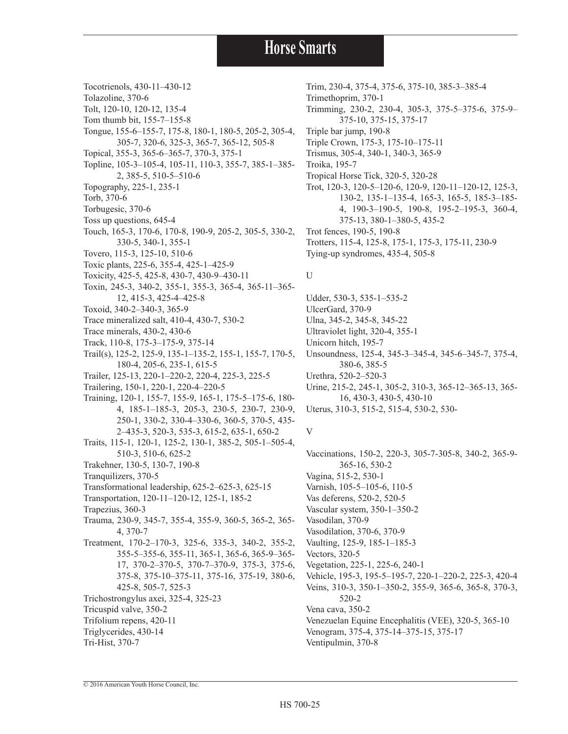- Tocotrienols, 430-11–430-12
- Tolazoline, 370-6
- Tolt, 120-10, 120-12, 135-4
- Tom thumb bit, 155-7–155-8
- Tongue, 155-6–155-7, 175-8, 180-1, 180-5, 205-2, 305-4, 305-7, 320-6, 325-3, 365-7, 365-12, 505-8
- Topical, 355-3, 365-6–365-7, 370-3, 375-1
- Topline, 105-3–105-4, 105-11, 110-3, 355-7, 385-1–385- 2, 385-5, 510-5–510-6
- Topography, 225-1, 235-1
- Torb, 370-6
- Torbugesic, 370-6
- Toss up questions, 645-4
- Touch, 165-3, 170-6, 170-8, 190-9, 205-2, 305-5, 330-2, 330-5, 340-1, 355-1
- Tovero, 115-3, 125-10, 510-6
- Toxic plants, 225-6, 355-4, 425-1–425-9
- Toxicity, 425-5, 425-8, 430-7, 430-9–430-11
- Toxin, 245-3, 340-2, 355-1, 355-3, 365-4, 365-11–365- 12, 415-3, 425-4–425-8
- Toxoid, 340-2–340-3, 365-9
- Trace mineralized salt, 410-4, 430-7, 530-2
- Trace minerals, 430-2, 430-6
- Track, 110-8, 175-3–175-9, 375-14
- Trail(s), 125-2, 125-9, 135-1–135-2, 155-1, 155-7, 170-5, 180-4, 205-6, 235-1, 615-5
- Trailer, 125-13, 220-1–220-2, 220-4, 225-3, 225-5
- Trailering, 150-1, 220-1, 220-4–220-5
- Training, 120-1, 155-7, 155-9, 165-1, 175-5–175-6, 180- 4, 185-1–185-3, 205-3, 230-5, 230-7, 230-9, 250-1, 330-2, 330-4–330-6, 360-5, 370-5, 435- 2–435-3, 520-3, 535-3, 615-2, 635-1, 650-2
- Traits, 115-1, 120-1, 125-2, 130-1, 385-2, 505-1–505-4, 510-3, 510-6, 625-2
- Trakehner, 130-5, 130-7, 190-8
- Tranquilizers, 370-5
- Transformational leadership, 625-2–625-3, 625-15
- Transportation, 120-11–120-12, 125-1, 185-2
- Trapezius, 360-3
- Trauma, 230-9, 345-7, 355-4, 355-9, 360-5, 365-2, 365- 4, 370-7
- Treatment, 170-2–170-3, 325-6, 335-3, 340-2, 355-2, 355-5–355-6, 355-11, 365-1, 365-6, 365-9–365- 17, 370-2–370-5, 370-7–370-9, 375-3, 375-6, 375-8, 375-10–375-11, 375-16, 375-19, 380-6, 425-8, 505-7, 525-3 Trichostrongylus axei, 325-4, 325-23 Tricuspid valve, 350-2 Trifolium repens, 420-11 Triglycerides, 430-14
- Tri-Hist, 370-7

Trim, 230-4, 375-4, 375-6, 375-10, 385-3–385-4 Trimethoprim, 370-1 Trimming, 230-2, 230-4, 305-3, 375-5–375-6, 375-9– 375-10, 375-15, 375-17 Triple bar jump, 190-8 Triple Crown, 175-3, 175-10–175-11 Trismus, 305-4, 340-1, 340-3, 365-9 Troika, 195-7 Tropical Horse Tick, 320-5, 320-28 Trot, 120-3, 120-5–120-6, 120-9, 120-11–120-12, 125-3, 130-2, 135-1–135-4, 165-3, 165-5, 185-3–185- 4, 190-3–190-5, 190-8, 195-2–195-3, 360-4, 375-13, 380-1–380-5, 435-2 Trot fences, 190-5, 190-8 Trotters, 115-4, 125-8, 175-1, 175-3, 175-11, 230-9 Tying-up syndromes, 435-4, 505-8

#### U

Udder, 530-3, 535-1–535-2 UlcerGard, 370-9 Ulna, 345-2, 345-8, 345-22 Ultraviolet light, 320-4, 355-1 Unicorn hitch, 195-7 Unsoundness, 125-4, 345-3–345-4, 345-6–345-7, 375-4, 380-6, 385-5 Urethra, 520-2–520-3 Urine, 215-2, 245-1, 305-2, 310-3, 365-12–365-13, 365- 16, 430-3, 430-5, 430-10 Uterus, 310-3, 515-2, 515-4, 530-2, 530-

#### V

Vaccinations, 150-2, 220-3, 305-7-305-8, 340-2, 365-9- 365-16, 530-2 Vagina, 515-2, 530-1 Varnish, 105-5–105-6, 110-5 Vas deferens, 520-2, 520-5 Vascular system, 350-1–350-2 Vasodilan, 370-9 Vasodilation, 370-6, 370-9 Vaulting, 125-9, 185-1–185-3 Vectors, 320-5 Vegetation, 225-1, 225-6, 240-1 Vehicle, 195-3, 195-5–195-7, 220-1–220-2, 225-3, 420-4 Veins, 310-3, 350-1–350-2, 355-9, 365-6, 365-8, 370-3, 520-2 Vena cava, 350-2 Venezuelan Equine Encephalitis (VEE), 320-5, 365-10 Venogram, 375-4, 375-14–375-15, 375-17 Ventipulmin, 370-8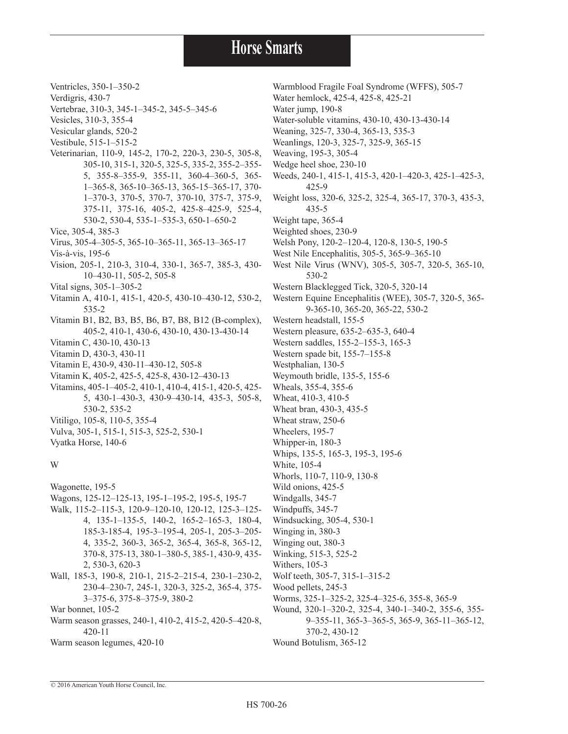Ventricles, 350-1–350-2

- Verdigris, 430-7
- Vertebrae, 310-3, 345-1–345-2, 345-5–345-6
- Vesicles, 310-3, 355-4
- Vesicular glands, 520-2
- Vestibule, 515-1–515-2
- Veterinarian, 110-9, 145-2, 170-2, 220-3, 230-5, 305-8, 305-10, 315-1, 320-5, 325-5, 335-2, 355-2–355- 5, 355-8–355-9, 355-11, 360-4–360-5, 365- 1–365-8, 365-10–365-13, 365-15–365-17, 370- 1–370-3, 370-5, 370-7, 370-10, 375-7, 375-9, 375-11, 375-16, 405-2, 425-8–425-9, 525-4, 530-2, 530-4, 535-1–535-3, 650-1–650-2
- Vice, 305-4, 385-3
- Virus, 305-4–305-5, 365-10–365-11, 365-13–365-17
- Vis-à-vis, 195-6
- Vision, 205-1, 210-3, 310-4, 330-1, 365-7, 385-3, 430- 10–430-11, 505-2, 505-8
- Vital signs, 305-1–305-2
- Vitamin A, 410-1, 415-1, 420-5, 430-10–430-12, 530-2, 535-2
- Vitamin B1, B2, B3, B5, B6, B7, B8, B12 (B-complex), 405-2, 410-1, 430-6, 430-10, 430-13-430-14
- Vitamin C, 430-10, 430-13
- Vitamin D, 430-3, 430-11
- Vitamin E, 430-9, 430-11–430-12, 505-8
- Vitamin K, 405-2, 425-5, 425-8, 430-12–430-13
- Vitamins, 405-1–405-2, 410-1, 410-4, 415-1, 420-5, 425- 5, 430-1–430-3, 430-9–430-14, 435-3, 505-8, 530-2, 535-2
- Vitiligo, 105-8, 110-5, 355-4
- Vulva, 305-1, 515-1, 515-3, 525-2, 530-1

Vyatka Horse, 140-6

#### W

- Wagonette, 195-5
- Wagons, 125-12–125-13, 195-1–195-2, 195-5, 195-7
- Walk, 115-2–115-3, 120-9–120-10, 120-12, 125-3–125- 4, 135-1–135-5, 140-2, 165-2–165-3, 180-4, 185-3-185-4, 195-3–195-4, 205-1, 205-3–205- 4, 335-2, 360-3, 365-2, 365-4, 365-8, 365-12, 370-8, 375-13, 380-1–380-5, 385-1, 430-9, 435- 2, 530-3, 620-3
- Wall, 185-3, 190-8, 210-1, 215-2–215-4, 230-1–230-2, 230-4–230-7, 245-1, 320-3, 325-2, 365-4, 375- 3–375-6, 375-8–375-9, 380-2
- War bonnet, 105-2
- Warm season grasses, 240-1, 410-2, 415-2, 420-5–420-8, 420-11
- Warm season legumes, 420-10
- Warmblood Fragile Foal Syndrome (WFFS), 505-7 Water hemlock, 425-4, 425-8, 425-21 Water jump, 190-8 Water-soluble vitamins, 430-10, 430-13-430-14 Weaning, 325-7, 330-4, 365-13, 535-3 Weanlings, 120-3, 325-7, 325-9, 365-15 Weaving, 195-3, 305-4 Wedge heel shoe, 230-10 Weeds, 240-1, 415-1, 415-3, 420-1–420-3, 425-1–425-3, 425-9 Weight loss, 320-6, 325-2, 325-4, 365-17, 370-3, 435-3, 435-5 Weight tape, 365-4 Weighted shoes, 230-9 Welsh Pony, 120-2–120-4, 120-8, 130-5, 190-5 West Nile Encephalitis, 305-5, 365-9–365-10 West Nile Virus (WNV), 305-5, 305-7, 320-5, 365-10, 530-2 Western Blacklegged Tick, 320-5, 320-14 Western Equine Encephalitis (WEE), 305-7, 320-5, 365- 9-365-10, 365-20, 365-22, 530-2 Western headstall, 155-5 Western pleasure, 635-2–635-3, 640-4 Western saddles, 155-2–155-3, 165-3 Western spade bit, 155-7–155-8 Westphalian, 130-5 Weymouth bridle, 135-5, 155-6 Wheals, 355-4, 355-6 Wheat, 410-3, 410-5 Wheat bran, 430-3, 435-5 Wheat straw, 250-6 Wheelers, 195-7 Whipper-in, 180-3 Whips, 135-5, 165-3, 195-3, 195-6 White, 105-4 Whorls, 110-7, 110-9, 130-8 Wild onions, 425-5 Windgalls, 345-7 Windpuffs, 345-7 Windsucking, 305-4, 530-1 Winging in, 380-3 Winging out, 380-3 Winking, 515-3, 525-2 Withers, 105-3 Wolf teeth, 305-7, 315-1–315-2 Wood pellets, 245-3 Worms, 325-1–325-2, 325-4–325-6, 355-8, 365-9 Wound, 320-1–320-2, 325-4, 340-1–340-2, 355-6, 355-
	- 9–355-11, 365-3–365-5, 365-9, 365-11–365-12, 370-2, 430-12
- Wound Botulism, 365-12

© 2016 American Youth Horse Council, Inc.